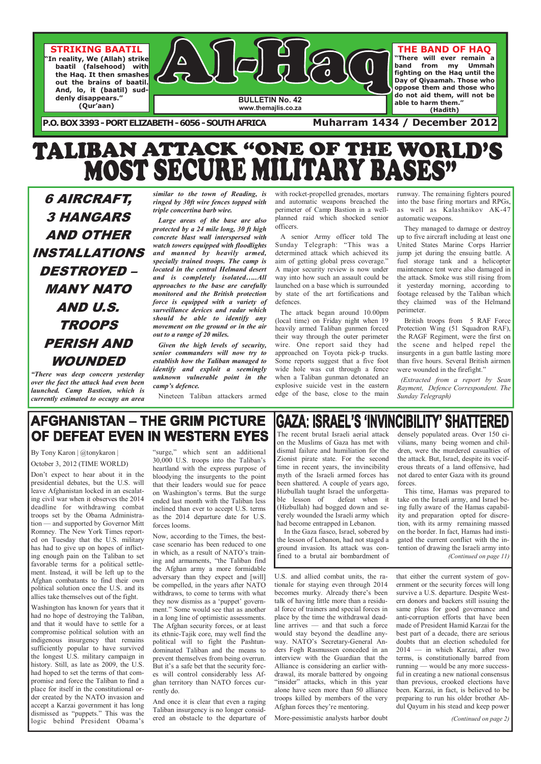6 AIRCRAFT, 3 HANGARS AND OTHER INSTALLATIONS DESTROYED – MANY NATO AND U.S. TROOPS PERISH AND WOUNDED

"There was deep concern yesterday over the fact the attack had even been launched. Camp Bastion, which is currently estimated to occupy an area similar to the town of Reading, is ringed by 30ft wire fences topped with triple concertina barb wire.

 Large areas of the base are also protected by a 24 mile long, 30 ft high concrete blast wall interspersed with watch towers equipped with floodlights and manned by heavily armed, specially trained troops. The camp is located in the central Helmand desert and is completely isolated…..All approaches to the base are carefully monitored and the British protection force is equipped with a variety of surveillance devices and radar which should be able to identify any movement on the ground or in the air out to a range of 20 miles.

 Given the high levels of security, senior commanders will now try to establish how the Taliban managed to identify and exploit a seemingly unknown vulnerable point in the camp's defence.

Nineteen Taliban attackers armed

with rocket-propelled grenades, mortars and automatic weapons breached the perimeter of Camp Bastion in a wellplanned raid which shocked senior officers.

 A senior Army officer told The Sunday Telegraph: "This was a determined attack which achieved its aim of getting global press coverage." A major security review is now under way into how such an assault could be launched on a base which is surrounded by state of the art fortifications and defences.

 The attack began around 10.00pm (local time) on Friday night when 19 heavily armed Taliban gunmen forced their way through the outer perimeter wire. One report said they had approached on Toyota pick-p trucks. Some reports suggest that a five foot wide hole was cut through a fence when a Taliban gunman detonated an explosive suicide vest in the eastern edge of the base, close to the main

runway. The remaining fighters poured into the base firing mortars and RPGs, as well as Kalashnikov AK-47 automatic weapons.

 They managed to damage or destroy up to five aircraft including at least one United States Marine Corps Harrier jump jet during the ensuing battle. A fuel storage tank and a helicopter maintenance tent were also damaged in the attack. Smoke was still rising from it yesterday morning, according to footage released by the Taliban which they claimed was of the Helmand perimeter.

 British troops from 5 RAF Force Protection Wing (51 Squadron RAF), the RAGF Regiment, were the first on the scene and helped repel the insurgents in a gun battle lasting more than five hours. Several British airmen were wounded in the firefight."

 (Extracted from a report by Sean Rayment, Defence Correspondent. The Sunday Telegraph)

### **AFGHANISTAN - THE GRIM PICTURE** OF DEFEAT EVEN IN WESTERN EYES



**TALIBAN ATTACK "ONE OF THE WORLD'S<br>MOST SECURE MILITARY BASES"** 

#### By Tony Karon | @tonykaron | October 3, 2012 (TIME WORLD)

Don't expect to hear about it in the presidential debates, but the U.S. will leave Afghanistan locked in an escalating civil war when it observes the 2014 deadline for withdrawing combat troops set by the Obama Administration — and supported by Governor Mitt Romney. The New York Times reported on Tuesday that the U.S. military has had to give up on hopes of inflicting enough pain on the Taliban to set favorable terms for a political settlement. Instead, it will be left up to the Afghan combatants to find their own political solution once the U.S. and its allies take themselves out of the fight. Washington has known for years that it had no hope of destroying the Taliban, and that it would have to settle for a compromise political solution with an indigenous insurgency that remains sufficiently popular to have survived the longest U.S. military campaign in history. Still, as late as 2009, the U.S. had hoped to set the terms of that compromise and force the Taliban to find a place for itself in the constitutional order created by the NATO invasion and accept a Karzai government it has long dismissed as "puppets." This was the logic behind President Obama's

"surge," which sent an additional 30,000 U.S. troops into the Taliban's heartland with the express purpose of bloodying the insurgents to the point that their leaders would sue for peace on Washington's terms. But the surge ended last month with the Taliban less inclined than ever to accept U.S. terms as the 2014 departure date for U.S. forces looms.

Now, according to the Times, the bestcase scenario has been reduced to one in which, as a result of NATO's training and armaments, "the Taliban find the Afghan army a more formidable adversary than they expect and [will] be compelled, in the years after NATO withdraws, to come to terms with what they now dismiss as a 'puppet' government." Some would see that as another in a long line of optimistic assessments. The Afghan security forces, or at least its ethnic-Tajik core, may well find the political will to fight the Pashtundominated Taliban and the means to prevent themselves from being overrun. But it's a safe bet that the security forces will control considerably less Afghan territory than NATO forces currently do.

## IGAZA: ISRAEL'S 'INVINCIBILITY' SHATTERED

And once it is clear that even a raging Taliban insurgency is no longer considered an obstacle to the departure of U.S. and allied combat units, the rationale for staying even through 2014 becomes murky. Already there's been talk of having little more than a residual force of trainers and special forces in place by the time the withdrawal deadline arrives — and that such a force would stay beyond the deadline anyway. NATO's Secretary-General Anders Fogh Rasmussen conceded in an interview with the Guardian that the Alliance is considering an earlier withdrawal, its morale battered by ongoing "insider" attacks, which in this year alone have seen more than 50 alliance troops killed by members of the very Afghan forces they're mentoring.

More-pessimistic analysts harbor doubt

that either the current system of government or the security forces will long survive a U.S. departure. Despite Western donors and backers still issuing the same pleas for good governance and anti-corruption efforts that have been made of President Hamid Karzai for the best part of a decade, there are serious doubts that an election scheduled for 2014 — in which Karzai, after two terms, is constitutionally barred from running — would be any more successful in creating a new national consensus than previous, crooked elections have been. Karzai, in fact, is believed to be preparing to run his older brother Abdul Qayum in his stead and keep power

(Continued on page 2)

The recent brutal Israeli aerial attack on the Muslims of Gaza has met with dismal failure and humiliation for the Zionist pirate state. For the second time in recent years, the invincibility myth of the Israeli armed forces has been shattered. A couple of years ago, Hizbullah taught Israel the unforgettable lesson of defeat when it (Hizbullah) had bogged down and severely wounded the Israeli army which had become entrapped in Lebanon.

 In the Gaza fiasco, Israel, sobered by the lesson of Lebanon, had not staged a ground invasion. Its attack was confined to a brutal air bombardment of densely populated areas. Over 150 civilians, many being women and children, were the murdered casualties of the attack. But, Israel, despite its vociferous threats of a land offensive, had not dared to enter Gaza with its ground forces.

 This time, Hamas was prepared to take on the Israeli army, and Israel being fully aware of the Hamas capability and preparation opted for discretion, with its army remaining massed on the border. In fact, Hamas had instigated the current conflict with the intention of drawing the Israeli army into (Continued on page 11)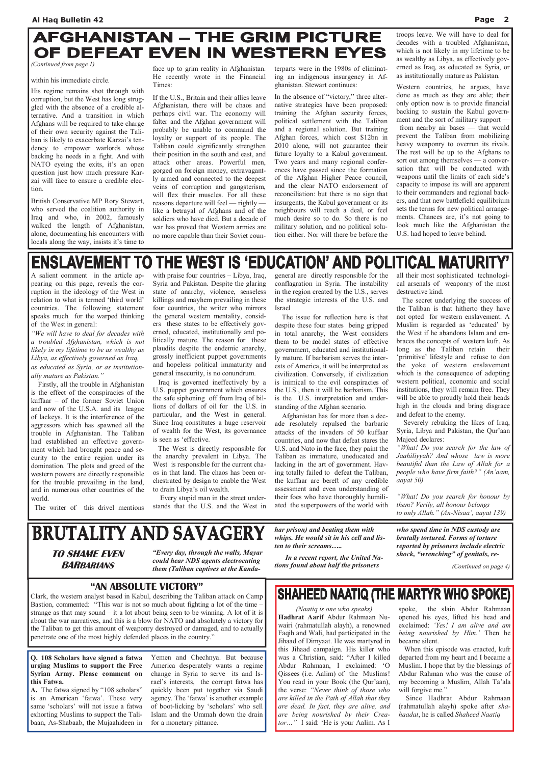## **AFGHANISTAN - THE GRIM PICTURE** OF DEFEAT EVEN IN WESTERN EYES

#### within his immediate circle.

His regime remains shot through with corruption, but the West has long struggled with the absence of a credible alternative. And a transition in which Afghans will be required to take charge of their own security against the Taliban is likely to exacerbate Karzai's tendency to empower warlords whose backing he needs in a fight. And with NATO eyeing the exits, it's an open question just how much pressure Karzai will face to ensure a credible election.

British Conservative MP Rory Stewart, who served the coalition authority in Iraq and who, in 2002, famously walked the length of Afghanistan, alone, documenting his encounters with locals along the way, insists it's time to

face up to grim reality in Afghanistan. He recently wrote in the Financial Times:

If the U.S., Britain and their allies leave Afghanistan, there will be chaos and perhaps civil war. The economy will falter and the Afghan government will probably be unable to command the loyalty or support of its people. The Taliban could significantly strengthen their position in the south and east, and attack other areas. Powerful men, gorged on foreign money, extravagantly armed and connected to the deepest veins of corruption and gangsterism, will flex their muscles. For all these reasons departure will feel — rightly like a betrayal of Afghans and of the soldiers who have died. But a decade of war has proved that Western armies are no more capable than their Soviet counterparts were in the 1980s of eliminating an indigenous insurgency in Afghanistan. Stewart continues:

TO SHAME EVEN **BARBARIANS** 

In the absence of "victory," three alternative strategies have been proposed: training the Afghan security forces, political settlement with the Taliban and a regional solution. But training Afghan forces, which cost \$12bn in 2010 alone, will not guarantee their future loyalty to a Kabul government. Two years and many regional conferences have passed since the formation of the Afghan Higher Peace council, and the clear NATO endorsement of reconciliation: but there is no sign that insurgents, the Kabul government or its neighbours will reach a deal, or feel much desire so to do. So there is no military solution, and no political solution either. Nor will there be before the

troops leave. We will have to deal for decades with a troubled Afghanistan, which is not likely in my lifetime to be as wealthy as Libya, as effectively governed as Iraq, as educated as Syria, or as institutionally mature as Pakistan.

 When this episode was enacted, kufr departed from my heart and I became a Muslim. I hope that by the blessings of Abdur Rahman who was the cause of my becoming a Muslim, Allah Ta'ala will forgive me."

Western countries, he argues, have done as much as they are able; their only option now is to provide financial backing to sustain the Kabul government and the sort of military support from nearby air bases — that would prevent the Taliban from mobilizing heavy weaponry to overrun its rivals. The rest will be up to the Afghans to sort out among themselves — a conversation that will be conducted with weapons until the limits of each side's capacity to impose its will are apparent to their commanders and regional backers, and that new battlefield equilibrium sets the terms for new political arrangements. Chances are, it's not going to look much like the Afghanistan the U.S. had hoped to leave behind.

#### **ENSLAVEMENT TO** THE WEST IS 'EDUCATION' AND POLITICAL MATURITY'

(Continued from page 1)

"Every day, through the walls, Mayar could hear NDS agents electrocuting them (Taliban captives at the Kandahar prison) and beating them with whips. He would sit in his cell and listen to their screams…..

 In a recent report, the United Nations found about half the prisoners

who spend time in NDS custody are brutally tortured. Forms of torture reported by prisoners include electric shock, "wrenching" of genitals, re-

(Continued on page 4)

Q. 108 Scholars have signed a fatwa urging Muslims to support the Free Syrian Army. Please comment on this Fatwa.

A. The fatwa signed by "108 scholars" is an American 'fatwa'. These very same 'scholars' will not issue a fatwa exhorting Muslims to support the Talibaan, As-Shabaab, the Mujaahideen in

Yemen and Chechnya. But because America desperately wants a regime change in Syria to serve its and Israel's interests, the corrupt fatwa has quickly been put together via Saudi agency. The 'fatwa' is another example of boot-licking by 'scholars' who sell Islam and the Ummah down the drain for a monetary pittance.

## **SHAHEED NAATIQ (THE MARTYR WHO SPOKE)**

(Naatiq is one who speaks) Hadhrat Aarif Abdur Rahmaan Nuwairi (rahmatullah alayh), a renowned Faqih and Wali, had participated in the Jihaad of Dimyaat. He was martyred in this Jihaad campaign. His killer who was a Christian, said: "After I killed Abdur Rahmaan, I exclaimed: 'O Qissees (i.e. Aalim) of the Muslims! You read in your Book (the Qur'aan), the verse: "Never think of those who are killed in the Path of Allah that they are dead. In fact, they are alive, and are being nourished by their Creator…" I said: 'He is your Aalim. As I

spoke, the slain Abdur Rahmaan opened his eyes, lifted his head and exclaimed: 'Yes! I am alive and am being nourished by Him.' Then he became silent.

 Since Hadhrat Abdur Rahmaan (rahmatullah alayh) spoke after shahaadat, he is called Shaheed Naatiq

#### "AN ABSOLUTE VICTORY"

Clark, the western analyst based in Kabul, describing the Taliban attack on Camp Bastion, commented: "This war is not so much about fighting a lot of the time – strange as that may sound – it a lot about being seen to be winning. A lot of it is about the war narratives, and this is a blow for NATO and absolutely a victory for the Taliban to get this amount of weaponry destroyed or damaged, and to actually penetrate one of the most highly defended places in the country."

A salient comment in the article appearing on this page, reveals the corruption in the ideology of the West in relation to what is termed 'third world' countries. The following statement speaks much for the warped thinking of the West in general:

"We will have to deal for decades with a troubled Afghanistan, which is not likely in my lifetime to be as wealthy as Libya, as effectively governed as Iraq, as educated as Syria, or as institutionally mature as Pakistan."

 Firstly, all the trouble in Afghanistan is the effect of the conspiracies of the kuffaar – of the former Soviet Union and now of the U.S.A. and its league of lackeys. It is the interference of the aggressors which has spawned all the trouble in Afghanistan. The Taliban had established an effective government which had brought peace and security to the entire region under its domination. The plots and greed of the western powers are directly responsible for the trouble prevailing in the land, and in numerous other countries of the world.

The writer of this drivel mentions

with praise four countries – Libya, Iraq, Syria and Pakistan. Despite the glaring state of anarchy, violence, senseless killings and mayhem prevailing in these four countries, the writer who mirrors the general western mentality, considers these states to be effectively governed, educated, institutionally and politically mature. The reason for these plaudits despite the endemic anarchy, grossly inefficient puppet governments and hopeless political immaturity and general insecurity, is no conundrum.

 Iraq is governed ineffectively by a U.S. puppet government which ensures the safe siphoning off from Iraq of billions of dollars of oil for the U.S. in particular, and the West in general. Since Iraq constitutes a huge reservoir of wealth for the West, its governance is seen as 'effective.

 The West is directly responsible for the anarchy prevalent in Libya. The West is responsible for the current chaos in that land. The chaos has been orchestrated by design to enable the West to drain Libya's oil wealth.

 Every stupid man in the street understands that the U.S. and the West in general are directly responsible for the conflagration in Syria. The instability in the region created by the U.S., serves the strategic interests of the U.S. and Israel

 The issue for reflection here is that despite these four states being gripped in total anarchy, the West considers them to be model states of effective government, educated and institutionally mature. If barbarism serves the interests of America, it will be interpreted as civilization. Conversely, if civilization is inimical to the evil conspiracies of the U.S., then it will be barbarism. This is the U.S. interpretation and understanding of the Afghan scenario.

 Afghanistan has for more than a decade resolutely repulsed the barbaric attacks of the invaders of 50 kuffaar countries, and now that defeat stares the U.S. and Nato in the face, they paint the Taliban as immature, uneducated and lacking in the art of government. Having totally failed to defeat the Taliban, the kuffaar are bereft of any credible assessment and even understanding of their foes who have thoroughly humiliated the superpowers of the world with all their most sophisticated technological arsenals of weaponry of the most destructive kind.

 The secret underlying the success of the Taliban is that hitherto they have not opted for western enslavement. A Muslim is regarded as 'educated' by the West if he abandons Islam and embraces the concepts of western kufr. As long as the Taliban retain their 'primitive' lifestyle and refuse to don the yoke of western enslavement which is the consequence of adopting western political, economic and social institutions, they will remain free. They will be able to proudly hold their heads high in the clouds and bring disgrace and defeat to the enemy.

 Severely rebuking the likes of Iraq, Syria, Libya and Pakistan, the Qur'aan Majeed declares:

"What! Do you search for the law of Jaahiliyyah? And whose law is more beautiful than the Law of Allah for a people who have firm faith?" (An'aam, aayat 50)

"What! Do you search for honour by them? Verily, all honour belongs to only Allah." (An-Nisaa', aayat 139)

## **BRUTALITY AND SAVAGERY**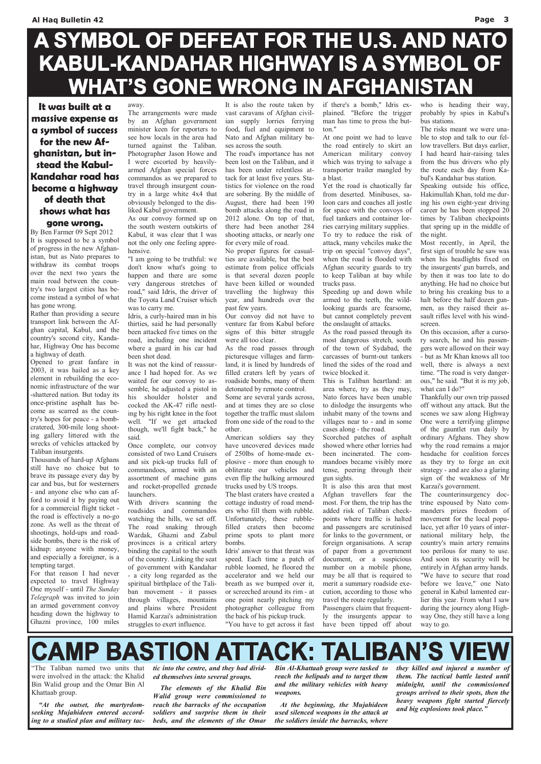## A SYMBOL OF DEFEAT FOR THE U.S. AND NATO KABUL-KANDAHAR HIGHWAY IS A SYMBOL OF WHAT'S GONE WRONG IN AFGHANISTAN

It was built at a massive expense as a symbol of success for the new Afghanistan, but instead the Kabul-Kandahar road has become a highway of death that shows what has gone wrong.

By Ben Farmer 09 Sept 2012 It is supposed to be a symbol of progress in the new Afghanistan, but as Nato prepares to withdraw its combat troops over the next two years the main road between the country's two largest cities has become instead a symbol of what has gone wrong.

Rather than providing a secure transport link between the Afghan capital, Kabul, and the country's second city, Kandahar, Highway One has become a highway of death.

Opened to great fanfare in 2003, it was hailed as a key element in rebuilding the economic infrastructure of the war -shattered nation. But today its once-pristine asphalt has become as scarred as the country's hopes for peace - a bombcratered, 300-mile long shooting gallery littered with the wrecks of vehicles attacked by Taliban insurgents.

Thousands of hard-up Afghans still have no choice but to brave its passage every day by car and bus, but for westerners - and anyone else who can afford to avoid it by paying out for a commercial flight ticket the road is effectively a no-go zone. As well as the threat of shootings, hold-ups and roadside bombs, there is the risk of kidnap: anyone with money, and especially a foreigner, is a tempting target.

For that reason I had never

expected to travel Highway One myself - until The Sunday Telegraph was invited to join an armed government convoy heading down the highway to Ghazni province, 100 miles

away. The arrangements were made by an Afghan government minister keen for reporters to see how locals in the area had turned against the Taliban. Photographer Jason Howe and I were escorted by heavilyarmed Afghan special forces commandos as we prepared to travel through insurgent country in a large white 4x4 that obviously belonged to the disliked Kabul government.

As our convoy formed up on the south western outskirts of Kabul, it was clear that I was not the only one feeling apprehensive.

"I am going to be truthful: we don't know what's going to happen and there are some very dangerous stretches of road," said Idris, the driver of the Toyota Land Cruiser which was to carry me.

Idris, a curly-haired man in his thirties, said he had personally been attacked five times on the road, including one incident where a guard in his car had been shot dead.

It was not the kind of reassurance I had hoped for. As we waited for our convoy to assemble, he adjusted a pistol in his shoulder holster and cocked the AK-47 rifle nestling by his right knee in the foot well. "If we get attacked though, we'll fight back," he said.

Once complete, our convoy consisted of two Land Cruisers and six pick-up trucks full of commandoes, armed with an assortment of machine guns and rocket-propelled grenade launchers.

With drivers scanning the roadsides and commandos watching the hills, we set off. The road snaking through Wardak, Ghazni and Zabul provinces is a critical artery binding the capital to the south of the country. Linking the seat of government with Kandahar - a city long regarded as the spiritual birthplace of the Taliban movement - it passes through villages, mountains and plains where President Hamid Karzai's administration struggles to exert influence.

It is also the route taken by vast caravans of Afghan civilian supply lorries ferrying food, fuel and equipment to Nato and Afghan military bases across the south.

The road's importance has not been lost on the Taliban, and it has been under relentless attack for at least five years. Statistics for violence on the road are sobering. By the middle of August, there had been 190 bomb attacks along the road in 2012 alone. On top of that, there had been another 284 shooting attacks, or nearly one for every mile of road.

No proper figures for casualties are available, but the best estimate from police officials is that several dozen people have been killed or wounded travelling the highway this year, and hundreds over the past few years.

Our convoy did not have to venture far from Kabul before signs of this bitter struggle were all too clear.

As the road passes through picturesque villages and farmland, it is lined by hundreds of filled craters left by years of roadside bombs, many of them detonated by remote control.

Some are several yards across, and at times they are so close together the traffic must slalom from one side of the road to the other.

Taliban named two units that were involved in the attack: the Khalid Bin Walid group and the Omar Bin Al Khattaab group.

American soldiers say they have uncovered devices made of 250lbs of home-made explosive - more than enough to obliterate our vehicles and even flip the hulking armoured trucks used by US troops.

The blast craters have created a cottage industry of road menders who fill them with rubble. Unfortunately, these rubblefilled craters then become prime spots to plant more bombs.

Idris' answer to that threat was speed. Each time a patch of rubble loomed, he floored the accelerator and we held our breath as we bumped over it, or screeched around its rim - at one point nearly pitching my photographer colleague from the back of his pickup truck. "You have to get across it fast

if there's a bomb," Idris explained. "Before the trigger man has time to press the button."

At one point we had to leave the road entirely to skirt an American military convoy which was trying to salvage a transporter trailer mangled by a blast.

Yet the road is chaotically far from deserted. Minibuses, saloon cars and coaches all jostle for space with the convoys of fuel tankers and container lorries carrying military supplies. To try to reduce the risk of attack, many vehciles make the trip on special "convoy days", when the road is flooded with Afghan security guards to try to keep Taliban at bay while trucks pass.

Speeding up and down while armed to the teeth, the wildlooking guards are fearsome, but cannot completely prevent the onslaught of attacks.

As the road passed through its most dangerous stretch, south of the town of Sydabad, the carcasses of burnt-out tankers lined the sides of the road and twice blocked it.

This is Taliban heartland: an area where, try as they may, Nato forces have been unable to dislodge the insurgents who inhabit many of the towns and villages near to - and in some cases along - the road.

Scorched patches of asphalt showed where other lorries had been incinerated. The commandoes became visibly more tense, peering through their gun sights.

It is also this area that most Afghan travellers fear the most. For them, the trip has the added risk of Taliban checkpoints where traffic is halted and passengers are scrutinised for links to the government, or foreign organisations. A scrap of paper from a government document, or a suspicious number on a mobile phone, may be all that is required to merit a summary roadside execution, according to those who travel the route regularly. Passengers claim that frequently the insurgents appear to have been tipped off about

who is heading their way, probably by spies in Kabul's bus stations.

The risks meant we were unable to stop and talk to our fellow travellers. But days earlier, I had heard hair-raising tales from the bus drivers who ply the route each day from Kabul's Kandahar bus station.

Speaking outside his office, Hakimullah Khan, told me during his own eight-year driving career he has been stopped 20 times by Taliban checkpoints that spring up in the middle of the night.

Most recently, in April, the first sign of trouble he saw was when his headlights fixed on the insurgents' gun barrels, and by then it was too late to do anything. He had no choice but to bring his creaking bus to a halt before the half dozen gunmen, as they raised their assault rifles level with his windscreen.

On this occasion, after a cursory search, he and his passengers were allowed on their way - but as Mr Khan knows all too well, there is always a next time. "The road is very dangerous," he said. "But it is my job, what can I do?"

Thankfully our own trip passed off without any attack. But the scenes we saw along Highway One were a terrifying glimpse of the gauntlet run daily by ordinary Afghans. They show why the road remains a major headache for coalition forces as they try to forge an exit strategy - and are also a glaring sign of the weakness of Mr Karzai's government.

The counterinsurgency doctrine espoused by Nato commanders prizes freedom of movement for the local populace, yet after 10 years of international military help, the country's main artery remains too perilous for many to use. And soon its security will be entirely in Afghan army hands. "We have to secure that road before we leave," one Nato general in Kabul lamented earlier this year. From what I saw during the journey along Highway One, they still have a long way to go.

 "At the outset, the martyrdomseeking Mujahideen entered according to a studied plan and military tactic into the centre, and they had divided themselves into several groups.

 The elements of the Khalid Bin Walid group were commissioned to reach the barracks of the occupation soldiers and surprise them in their beds, and the elements of the Omar Bin Al-Khattaab group were tasked to reach the helipads and to target them and the military vehicles with heavy weapons.

 At the beginning, the Mujahideen used silenced weapons in the attack at the soldiers inside the barracks, where

they killed and injured a number of them. The tactical battle lasted until midnight, until the commissioned groups arrived to their spots, then the heavy weapons fight started fiercely and big explosions took place."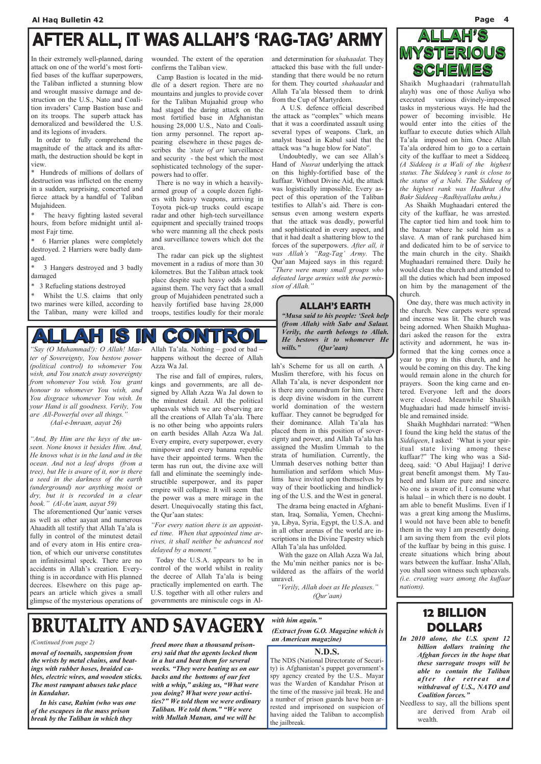## AFTER ALL, IT WAS ALLAH'S 'RAG-TAG' ARMY

moval of toenails, suspension from the wrists by metal chains, and beatings with rubber hoses, braided cables, electric wires, and wooden sticks. The most rampant abuses take place in Kandahar.

 In his case, Rahim (who was one of the escapees in the mass prison break by the Taliban in which they

(Continued from page 2) **Freed more than a thousand prison- an American magazine**) ers) said that the agents locked them in a hut and beat them for several weeks. "They were beating us on our backs and the bottoms of our feet with a whip," asking us, "What were you doing? What were your activities?" We told them we were ordinary Taliban. We told them." "We were with Mullah Manan, and we will be

#### with him again."

(Extract from G.O. Magazine which is

The heavy fighting lasted several hours, from before midnight until almost Fajr time.

6 Harrier planes were completely destroyed. 2 Harriers were badly damaged.

Whilst the U.S. claims that only two marines were killed, according to the Taliban, many were killed and

In their extremely well-planned, daring attack on one of the world's most fortified bases of the kuffaar superpowers, the Taliban inflicted a stunning blow and wrought massive damage and destruction on the U.S., Nato and Coalition invaders' Camp Bastion base and on its troops. The superb attack has demoralized and bewildered the U.S. and its legions of invaders.

 In order to fully comprehend the magnitude of the attack and its aftermath, the destruction should be kept in view.

\* Hundreds of millions of dollars of destruction was inflicted on the enemy in a sudden, surprising, concerted and fierce attack by a handful of Taliban Mujahideen.

\* 3 Hangers destroyed and 3 badly damaged

3 Refueling stations destroyed

wounded. The extent of the operation confirms the Taliban view.

 Camp Bastion is located in the middle of a desert region. There are no mountains and jungles to provide cover for the Taliban Mujaahid group who had staged the daring attack on the most fortified base in Afghanistan housing 28,000 U.S., Nato and Coalition army personnel. The report appearing elsewhere in these pages describes the 'state of art 'surveillance and security - the best which the most sophisticated technology of the superpowers had to offer.

 There is no way in which a heavilyarmed group of a couple dozen fighters with heavy weapons, arriving in Toyota pick-up trucks could escape radar and other high-tech surveillance equipment and specially trained troops who were manning all the check posts and surveillance towers which dot the area.

 The radar can pick up the slightest movement in a radius of more than 30 kilometres. But the Taliban attack took place despite such heavy odds loaded against them. The very fact that a small group of Mujahideen penetrated such a heavily fortified base having 28,000 troops, testifies loudly for their morale

and determination for shahaadat. They attacked this base with the full understanding that there would be no return for them. They courted shahaadat and Allah Ta'ala blessed them to drink from the Cup of Martyrdom.

 A U.S. defence official described the attack as "complex" which means that it was a coordinated assault using several types of weapons. Clark, an analyst based in Kabul said that the attack was "a huge blow for Nato".

 Undoubtedly, we can see Allah's Hand of Nusrat underlying the attack on this highly-fortified base of the kuffaar. Without Divine Aid, the attack was logistically impossible. Every aspect of this operation of the Taliban testifies to Allah's aid. There is consensus even among western experts that the attack was deadly, powerful and sophisticated in every aspect, and that it had dealt a shattering blow to the forces of the superpowers. After all, it was Allah's "Rag-Tag' Army. The Qur'aan Majeed says in this regard: "There were many small groups who defeated large armies with the permission of Allah."

Shaikh Mughaadari (rahmatullah alayh) was one of those Auliya who executed various divinely-imposed tasks in mysterious ways. He had the power of becoming invisible. He would enter into the cities of the kuffaar to execute duties which Allah Ta'ala imposed on him. Once Allah Ta'ala ordered him to go to a certain city of the kuffaar to meet a Siddeeq. (A Siddeeq is a Wali of the highest status. The Siddeeq's rank is close to the status of a Nabi. The Siddeeq of the highest rank was Hadhrat Abu Bakr Siddeeq –Radhiyallahu anhu.)

 As Shaikh Mughaadari entered the city of the kuffaar, he was arrested. The captor tied him and took him to the bazaar where he sold him as a slave. A man of rank purchased him and dedicated him to be of service to the main church in the city. Shaikh Mughaadari remained there. Daily he would clean the church and attended to all the duties which had been imposed on him by the management of the church.

"Musa said to his people: 'Seek help (from Allah) with Sabr and Salaat. Verily, the earth belongs to Allah. He bestows it to whomever He wills." (Qur'aan)

 One day, there was much activity in the church. New carpets were spread and incense was lit. The church was being adorned. When Shaikh Mughaadari asked the reason for the extra activity and adornment, he was informed that the king comes once a year to pray in this church, and he would be coming on this day. The king would remain alone in the church for prayers. Soon the king came and entered. Everyone left and the doors were closed. Meanwhile Shaikh Mughaadari had made himself invisible and remained inside.

 Shaikh Mughhdari narrated: "When I found the king held the status of the Siddiqeen, I asked: 'What is your spiritual state living among these kuffaar?" The king who was a Siddeeq, said: 'O Abul Hajjaaj! I derive great benefit amongst them. My Tauheed and Islam are pure and sincere. No one is aware of it. I consume what is halaal – in which there is no doubt. I am able to benefit Muslims. Even if I was a great king among the Muslims, I would not have been able to benefit them in the way I am presently doing. I am saving them from the evil plots of the kuffaar by being in this guise. I create situations which bring about wars between the kuffaar. Insha'Allah, you shall soon witness such upheavals.

#### CONTRO JLAH IS AIL

**BRUTALITY AND SAVAGERY** 

(i.e. creating wars among the kuffaar nations).

"Say (O Muhammad!): O Allah! Master of Sovereignty, You bestow power (political control) to whomever You wish, and You snatch away sovereignty from whomever You wish. You grant honour to whomever You wish, and You disgrace whomever You wish. In your Hand is all goodness. Verily, You are All-Powerful over all things."

(Aal-e-Imraan, aayat 26)

"And, By Him are the keys of the unseen. None knows it besides Him. And, He knows what is in the land and in the ocean. And not a leaf drops (from a tree), but He is aware of it, nor is there a seed in the darkness of the earth (underground) nor anything moist or dry, but it is recorded in a clear book." (Al-An'aam, aayat 59)

 The aforementioned Qur'aanic verses as well as other aayaat and numerous Ahaadith all testify that Allah Ta'ala is fully in control of the minutest detail and of every atom in His entire creation, of which our universe constitutes an infinitesimal speck. There are no accidents in Allah's creation. Everything is in accordance with His planned decrees. Elsewhere on this page appears an article which gives a small glimpse of the mysterious operations of

Allah Ta'ala. Nothing – good or bad – happens without the decree of Allah Azza Wa Jal.

 The rise and fall of empires, rulers, kings and governments, are all designed by Allah Azza Wa Jal down to the minutest detail. All the political upheavals which we are observing are all the creations of Allah Ta'ala. There is no other being who appoints rulers on earth besides Allah Azza Wa Jal. Every empire, every superpower, every minipower and every banana republic have their appointed terms. When the term has run out, the divine axe will fall and eliminate the seemingly indestructible superpower, and its paper empire will collapse. It will seem that the power was a mere mirage in the desert. Unequivocally stating this fact, the Qur'aan states:

"For every nation there is an appointed time. When that appointed time arrives, it shall neither be advanced not delayed by a moment."

 Today the U.S.A. appears to be in control of the world whilst in reality the decree of Allah Ta'ala is being practically implemented on earth. The U.S. together with all other rulers and governments are miniscule cogs in Al-

lah's Scheme for us all on earth. A Muslim therefore, with his focus on Allah Ta'ala, is never despondent nor is there any conundrum for him. There is deep divine wisdom in the current world domination of the western kuffaar. They cannot be begrudged for their dominance. Allah Ta'ala has placed them in this position of sovereignty and power, and Allah Ta'ala has assigned the Muslim Ummah to the strata of humiliation. Currently, the Ummah deserves nothing better than humiliation and serfdom which Muslims have invited upon themselves by way of their bootlicking and hindlicking of the U.S. and the West in general.

 The drama being enacted in Afghanistan, Iraq, Somalia, Yemen, Chechniya, Libya, Syria, Egypt, the U.S.A. and in all other arenas of the world are inscriptions in the Divine Tapestry which Allah Ta'ala has unfolded.

 With the gaze on Allah Azza Wa Jal, the Mu'min neither panics nor is bewildered as the affairs of the world

## **ALLAH'S MYSTERIOUS SCHEMES**

unravel.

"Verily, Allah does as He pleases." (Qur'aan)

#### ALLAH'S EARTH

### 12 BILLION DOLLARS

In 2010 alone, the U.S. spent 12 billion dollars training the Afghan forces in the hope that these surrogate troops will be able to contain the Taliban after the retreat and withdrawal of U.S., NATO and Coalition forces." Needless to say, all the billions spent

are derived from Arab oil wealth.

#### N.D.S.

The NDS (National Directorate of Security) is Afghanistan's puppet government's spy agency created by the U.S.. Mayar was the Warden of Kandahar Prison at the time of the massive jail break. He and a number of prison guards have been arrested and imprisoned on suspicion of having aided the Taliban to accomplish the jailbreak.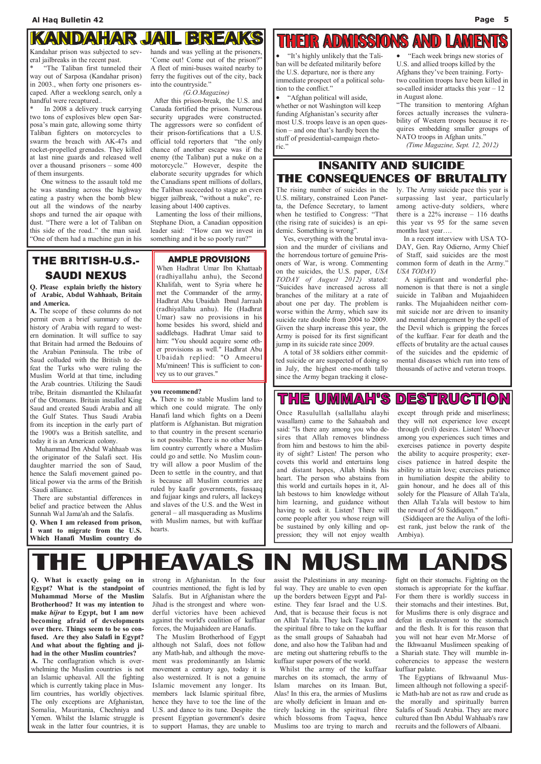KANDAHAR JAIL BREAKS

Kandahar prison was subjected to several jailbreaks in the recent past.

\* "The Taliban first tunneled their way out of Sarposa (Kandahar prison) in 2003., when forty one prisoners escaped. After a weeklong search, only a handful were recaptured..

In 2008 a delivery truck carrying two tons of explosives blew open Sarposa's main gate, allowing some thirty Taliban fighters on motorcycles to swarm the breach with AK-47s and rocket-propelled grenades. They killed at last nine guards and released well over a thousand prisoners – some 400 of them insurgents.

 One witness to the assault told me he was standing across the highway eating a pastry when the bomb blew out all the windows of the nearby shops and turned the air opaque with dust. "There were a lot of Taliban on this side of the road.." the man said. "One of them had a machine gun in his

 Lamenting the loss of their millions, Stephane Dion, a Canadian opposition leader said: "How can we invest in something and it be so poorly run?"

hands and was yelling at the prisoners, 'Come out! Come out of the prison?" A fleet of mini-buses waited nearby to ferry the fugitives out of the city, back into the countryside."

(G.O.Magazine)

• "Afghan political will aside, whether or not Washington will keep funding Afghanistan's security after most U.S. troops leave is an open question – and one that's hardly been the stuff of presidential-campaign rhetoric."

• "Each week brings new stories of U.S. and allied troops killed by the Afghans they've been training. Fortytwo coalition troops have been killed in so-called insider attacks this year – 12 in August alone.

 After this prison-break, the U.S. and Canada fortified the prison. Numerous security upgrades were constructed. The aggressors were so confident of their prison-fortifications that a U.S. official told reporters that "the only chance of another escape was if the enemy (the Taliban) put a nuke on a motorcycle." However, despite the elaborate security upgrades for which the Canadians spent millions of dollars, the Taliban succeeded to stage an even bigger jailbreak, "without a nuke", releasing about 1400 captives.

• "It's highly unlikely that the Taliban will be defeated militarily before the U.S. departure, nor is there any immediate prospect of a political solution to the conflict."

> "The transition to mentoring Afghan forces actually increases the vulnerability of Western troops because it requires embedding smaller groups of NATO troops in Afghan units."

(Time Magazine, Sept. 12, 2012)

### **INSANITY AND SUICIDE** THE CONSEQUENCES OF BRUTALITY

The rising number of suicides in the U.S. military, constrained Leon Panetta, the Defence Secretary, to lament when he testified to Congress: "That (the rising rate of suicides) is an epidemic. Something is wrong".

 Yes, everything with the brutal invasion and the murder of civilians and the horrendous torture of genuine Prisoners of War, is wrong. Commenting on the suicides, the U.S. paper, USA TODAY of August 2012) stated: "Suicides have increased across all branches of the military at a rate of about one per day. The problem is worse within the Army, which saw its suicide rate double from 2004 to 2009. Given the sharp increase this year, the Army is poised for its first significant jump in its suicide rate since 2009.

 A total of 38 soldiers either committed suicide or are suspected of doing so in July, the highest one-month tally since the Army began tracking it closely. The Army suicide pace this year is surpassing last year, particularly among active-duty soldiers, where there is a 22% increase – 116 deaths this year vs 95 for the same seven months last year….

 In a recent interview with USA TO-DAY, Gen. Ray Odierno, Army Chief of Staff, said suicides are the most common form of death in the Army." USA TODAY)

 A significant and wonderful phenomenon is that there is not a single suicide in Taliban and Mujaahideen ranks. The Mujaahideen neither commit suicide nor are driven to insanity and mental derangement by the spell of the Devil which is gripping the forces of the kuffaar. Fear for death and the effects of brutality are the actual causes of the suicides and the epidemic of mental diseases which run into tens of thousands of active and veteran troops.

#### **DESTRUCTION** THE UMMAH'S

Q. What is exactly going on in Egypt? What is the standpoint of Muhammad Morse of the Muslim Brotherhood? It was my intention to make hijrat to Egypt, but I am now becoming afraid of developments over there. Things seem to be so confused. Are they also Salafi in Egypt? And what about the fighting and jihad in the other Muslim countries? A. The conflagration which is overwhelming the Muslim countries is not an Islamic upheaval. All the fighting which is currently taking place in Muslim countries, has worldly objectives. The only exceptions are Afghanistan, Somalia, Mauritania, Chechniya and Yemen. Whilst the Islamic struggle is weak in the latter four countries, it is

strong in Afghanistan. In the four countries mentioned, the fight is led by Salafis. But in Afghanistan where the Jihad is the strongest and where wonderful victories have been achieved against the world's coalition of kuffaar forces, the Mujaahideen are Hanafis.

THE UPHEAVALS IN MUSLIM LANDS

 The Muslim Brotherhood of Egypt although not Salafi, does not follow any Math-hab, and although the movement was predominantly an Islamic movement a century ago, today it is also westernized. It is not a genuine Islamic movement any longer. Its members lack Islamic spiritual fibre, hence they have to toe the line of the U.S. and dance to its tune. Despite the present Egyptian government's desire to support Hamas, they are unable to assist the Palestinians in any meaningful way. They are unable to even open up the borders between Egypt and Palestine. They fear Israel and the U.S. And, that is because their focus is not on Allah Ta'ala. They lack Taqwa and the spiritual fibre to take on the kuffaar as the small groups of Sahaabah had done, and also how the Taliban had and are meting out shattering rebuffs to the kuffaar super powers of the world.

 Whilst the army of the kuffaar marches on its stomach, the army of Islam marches on its Imaan. But, Alas! In this era, the armies of Muslims are wholly deficient in Imaan and entirely lacking in the spiritual fibre which blossoms from Taqwa, hence Muslims too are trying to march and

fight on their stomachs. Fighting on the stomach is appropriate for the kuffaar. For them there is worldly success in their stomachs and their intestines. But, for Muslims there is only disgrace and defeat in enslavement to the stomach and the flesh. It is for this reason that you will not hear even Mr.Morse of the Ikhwaanul Muslimeen speaking of a Shariah state. They will mumble incoherencies to appease the western kuffaar palate.

 The Egyptians of Ikhwaanul Muslimeen although not following a specific Math-hab are not as raw and crude as the morally and spiritually barren Salafis of Saudi Arabia. They are more cultured than Ibn Abdul Wahhaab's raw recruits and the followers of Albaani.

### THE BRITISH-U.S.- SAUDI NEXUS

Q. Please explain briefly the history of Arabic, Abdul Wahhaab, Britain and America.

A. The scope of these columns do not permit even a brief summary of the history of Arabia with regard to western domination. It will suffice to say that Britain had armed the Bedouins of the Arabian Peninsula. The tribe of Saud colluded with the British to defeat the Turks who were ruling the Muslim World at that time, including the Arab countries. Utilizing the Saudi tribe, Britain dismantled the Khilaafat of the Ottomans. Britain installed King Saud and created Saudi Arabia and all the Gulf States. Thus Saudi Arabia from its inception in the early part of the 1900's was a British satellite, and today it is an American colony.

 Muhammad Ibn Abdul Wahhaab was the originator of the Salafi sect. His daughter married the son of Saud, hence the Salafi movement gained political power via the arms of the British -Saudi alliance.

 There are substantial differences in belief and practice between the Ahlus Sunnah Wal Jama'ah and the Salafis.

Q. When I am released from prison, I want to migrate from the U.S. Which Hanafi Muslim country do

#### you recommend?

A. There is no stable Muslim land to which one could migrate. The only Hanafi land which fights on a Deeni platform is Afghanistan. But migration to that country in the present scenario is not possible. There is no other Muslim country currently where a Muslim could go and settle. No Muslim country will allow a poor Muslim of the Deen to settle in the country, and that is because all Muslim countries are ruled by kaafir governments, fussaaq and fujjaar kings and rulers, all lackeys and slaves of the U.S. and the West in general – all masquerading as Muslims with Muslim names, but with kuffaar hearts.

## **THEIR ADMISSIONS AND LAM**

#### AMPLE PROVISIONS

When Hadhrat Umar Ibn Khattaab (radhiyallahu anhu), the Second Khalifah, went to Syria where he met the Commander of the army, Hadhrat Abu Ubaidah Ibnul Jarraah (radhiyallahu anhu). He (Hadhrat Umar) saw no provisions in his home besides his sword, shield and saddlebags. Hadhrat Umar said to him: "You should acquire some other provisions as well." Hadhrat Abu Ubaidah replied: "O Ameerul Mu'mineen! This is sufficient to convey us to our graves."

> Once Rasulullah (sallallahu alayhi wasallam) came to the Sahaabah and said: "Is there any among you who desires that Allah removes blindness from him and bestows to him the ability of sight? Listen! The person who covets this world and entertains long and distant hopes, Allah blinds his heart. The person who abstains from this world and curtails hopes in it, Allah bestows to him knowledge without him learning, and guidance without having to seek it. Listen! There will come people after you whose reign will be sustained by only killing and oppression; they will not enjoy wealth

except through pride and miserliness; they will not experience love except through (evil) desires. Listen! Whoever among you experiences such times and exercises patience in poverty despite the ability to acquire prosperity; exercises patience in hatred despite the ability to attain love; exercises patience in humiliation despite the ability to gain honour, and he does all of this solely for the Pleasure of Allah Ta'ala, then Allah Ta'ala will bestow to him the reward of 50 Siddiqeen."

 (Siddiqeen are the Auliya of the loftiest rank, just below the rank of the Ambiya).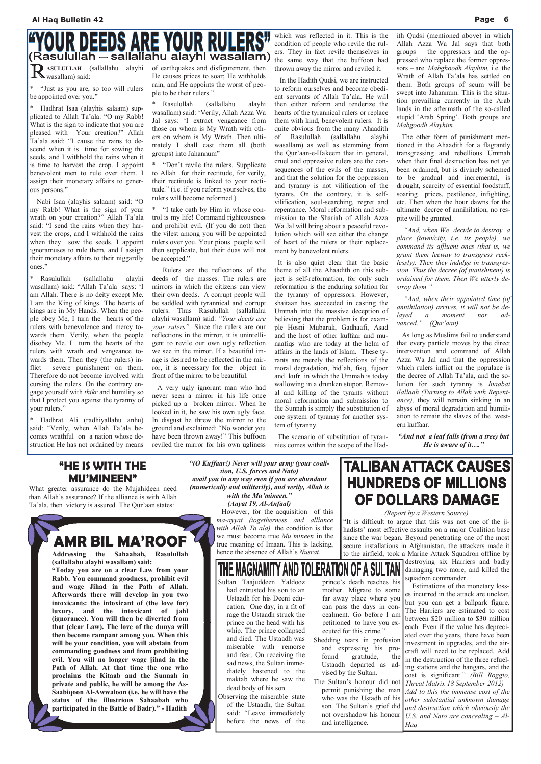$\mathbf{R}^*$ **W**wasallam) said:

### "HE IS WITH THE MU'MINEEN"

What greater assurance do the Mujahideen need than Allah's assurance? If the alliance is with Allah Ta'ala, then victory is assured. The Qur'aan states:

"(O Kuffaar!) Never will your army (your coalition, U.S. forces and Nato) avail you in any way even if you are abundant (numerically and militarily), and verily, Allah is with the Mu'mineen." (Aayat 19, Al-Anfaal) However, for the acquisition of this ma-ayyat (togetherness and alliance with Allah Ta'ala), the condition is that we must become true Mu'mineen in the

> true meaning of Imaan. This is lacking, hence the absence of Allah's Nusrat.

### **TALIBAN ATTACK CAUSES HUNDREDS OF MILLIONS** OF DOLLARS DAMAGE



"Today you are on a clear Law from your Rabb. You command goodness, prohibit evil and wage Jihad in the Path of Allah. Afterwards there will develop in you two intoxicants: the intoxicant of (the love for) luxury, and the intoxicant of jahl (ignorance). You will then be diverted from that (clear Law). The love of the dunya will then become rampant among you. When this will be your condition, you will abstain from commanding goodness and from prohibiting evil. You will no longer wage jihad in the Path of Allah. At that time the one who proclaims the Kitaab and the Sunnah in private and public, he will be among the As-Saabiqoon Al-Awwaloon (i.e. he will have the status of the illustrious Sahaabah who participated in the Battle of Badr)." - Hadith

\* "Just as you are, so too will rulers be appointed over you."

\* Hadhrat Isaa (alayhis salaam) supplicated to Allah Ta'ala: "O my Rabb! What is the sign to indicate that you are pleased with Your creation?" Allah Ta'ala said: "I cause the rains to descend when it is time for sowing the seeds, and I withhold the rains when it is time to harvest the crop. I appoint benevolent men to rule over them. I assign their monetary affairs to generous persons."

 Nabi Isaa (alayhis salaam) said: "O my Rabb! What is the sign of your wrath on your creation?" Allah Ta'ala said: "I send the rains when they harvest the crops, and I withhold the rains when they sow the seeds. I appoint ignoramuses to rule them, and I assign their monetary affairs to their niggardly ones."

ASULULLAH (sallallahu alayhi of earthquakes and disfigurement, then He causes prices to soar; He withholds rain, and He appoints the worst of people to be their rulers."

\* Rasulullah (sallallahu alayhi wasallam) said: "Allah Ta'ala says: 'I am Allah. There is no deity except Me. I am the King of kings. The hearts of kings are in My Hands. When the people obey Me, I turn the hearts of the rulers with benevolence and mercy towards them. Verily, when the people disobey Me. I turn the hearts of the rulers with wrath and vengeance towards them. Then they (the rulers) inflict severe punishment on them. Therefore do not become involved with cursing the rulers. On the contrary engage yourself with thikr and humility so that I protect you against the tyranny of your rulers."

\* Hadhrat Ali (radhiyallahu anhu) said: "Verily, when Allah Ta'ala becomes wrathful on a nation whose destruction He has not ordained by means

\* Rasulullah (sallallahu alayhi wasallam) said: 'Verily, Allah Azza Wa Jal says: 'I extract vengeance from those on whom is My Wrath with others on whom is My Wrath. Then ultimately I shall cast them all (both groups) into Jahannum"

\* "Don't revile the rulers. Supplicate to Allah for their rectitude, for verily, their rectitude is linked to your rectitude." (i.e. if you reform yourselves, the rulers will become reformed.)

\* "I take oath by Him in whose control is my life! Command righteousness and prohibit evil. (If you do not) then the vilest among you will be appointed rulers over you. Your pious people will then supplicate, but their duas will not be accepted."

 Rulers are the reflections of the deeds of the masses. The rulers are mirrors in which the citizens can view their own deeds. A corrupt people will be saddled with tyrannical and corrupt rulers. Thus Rasulullah (sallallahu alayhi wasallam) said: "Your deeds are your rulers". Since the rulers are our reflections in the mirror, it is unintelligent to revile our own ugly reflection we see in the mirror. If a beautiful image is desired to be reflected in the mirror, it is necessary for the object in front of the mirror to be beautiful.

 A very ugly ignorant man who had never seen a mirror in his life once picked up a broken mirror. When he looked in it, he saw his own ugly face. In disgust he threw the mirror to the ground and exclaimed: "No wonder you have been thrown away!" This buffoon reviled the mirror for his own ugliness which was reflected in it. This is the condition of people who revile the rulers. They in fact revile themselves in the same way that the buffoon had thrown away the mirror and reviled it.

 In the Hadith Qudsi, we are instructed to reform ourselves and become obedient servants of Allah Ta'ala. He will then either reform and tenderize the hearts of the tyrannical rulers or replace them with kind, benevolent rulers. It is quite obvious from the many Ahaadith of Rasulullah (sallallahu alayhi wasallam) as well as stemming from the Qur'aan-e-Hakeem that in general, cruel and oppressive rulers are the consequences of the evils of the masses, and that the solution for the oppression and tyranny is not vilification of the tyrants. On the contrary, it is selfvilification, soul-searching, regret and repentance. Moral reformation and submission to the Shariah of Allah Azza Wa Jal will bring about a peaceful revolution which will see either the change of heart of the rulers or their replacement by benevolent rulers.

 It is also quiet clear that the basic theme of all the Ahaadith on this subject is self-reformation, for only such reformation is the enduring solution for the tyranny of oppressors. However, shaitaan has succeeded in casting the Ummah into the massive deception of believing that the problem is for example Hosni Mubarak, Gadhaafi, Asad and the host of other kuffaar and munaafiqs who are today at the helm of affairs in the lands of Islam. These tyrants are merely the reflections of the moral degradation, bid'ah, fisq, fujoor and kufr in which the Ummah is today wallowing in a drunken stupor. Removal and killing of the tyrants without moral reformation and submission to the Sunnah is simply the substitution of one system of tyranny for another system of tyranny.

 The scenario of substitution of tyrannies comes within the scope of the Had-

ith Qudsi (mentioned above) in which Allah Azza Wa Jal says that both groups – the oppressors and the oppressed who replace the former oppressors – are *Mabghoodh Alayhim*, i.e. the Wrath of Allah Ta'ala has settled on them. Both groups of scum will be swept into Jahannum. This is the situation prevailing currently in the Arab lands in the aftermath of the so-called stupid 'Arab Spring'. Both groups are Mabgoodh Alayhim.

 The other form of punishment mentioned in the Ahaadith for a flagrantly transgressing and rebellious Ummah when their final destruction has not yet been ordained, but is divinely schemed to be gradual and incremental, is drought, scarcity of essential foodstuff, soaring prices, pestilence, infighting, etc. Then when the hour dawns for the ultimate decree of annihilation, no respite will be granted.

 "And, when We decide to destroy a place (town/city, i.e. its people), we command its affluent ones (that is, we grant them leeway to transgress recklessly). Then they indulge in transgression. Thus the decree (of punishment) is ordained for them. Then We utterly destroy them."

 "And, when their appointed time (of annihilation) arrives, it will not be delayed a moment nor advanced." (Qur'aan)

 As long as Muslims fail to understand that every particle moves by the direct intervention and command of Allah Azza Wa Jal and that the oppression which rulers inflict on the populace is the decree of Allah Ta'ala, and the solution for such tyranny is Inaabat ilallaah (Turning to Allah with Repentance), they will remain sinking in an abyss of moral degradation and humiliation to remain the slaves of the western kuffaar.

"And not a leaf falls (from a tree) but He is aware of it…."

#### (Report by a Western Source)

"It is difficult to argue that this was not one of the jihadists' most effective assaults on a major Coalition base since the war began. Beyond penetrating one of the most secure installations in Afghanistan, the attackers made it to the airfield, took a Marine Attack Squadron offline by

destroying six Harriers and badly THE MAGNAMITY AND TOLERATION OF A SULTAN damaging two more, and killed the squadron commander. Estimations of the monetary losses incurred in the attack are unclear, but you can get a ballpark figure. The Harriers are estimated to cost between \$20 million to \$30 million each. Even if the value has depreciated over the years, there have been investment in upgrades, and the aircraft will need to be replaced. Add in the destruction of the three refueling stations and the hangars, and the cost is significant." (Bill Roggio, Threat Matrix 18 September 2012) Add to this the immense cost of the other substantial unknown damage and destruction which obviously the U.S. and Nato are concealing  $-Al$ -Haq

Sultan Taajuddeen Yaldooz had entrusted his son to an Ustaadh for his Deeni education. One day, in a fit of rage the Ustaadh struck the prince on the head with his whip. The prince collapsed and died. The Ustaadh was miserable with remorse and fear. On receiving the sad news, the Sultan immediately hastened to the maktab where he saw the dead body of his son. Observing the miserable state of the Ustaadh, the Sultan said: "Leave immediately before the news of the

prince's death reaches his mother. Migrate to some far away place where you can pass the days in concealment. Go before I am petitioned to have you executed for this crime." Shedding tears in profusion and expressing his profound gratitude, the Ustaadh departed as advised by the Sultan. The Sultan's honour did not permit punishing the man who was the Ustadh of his son. The Sultan's grief did not overshadow his honour and intelligence.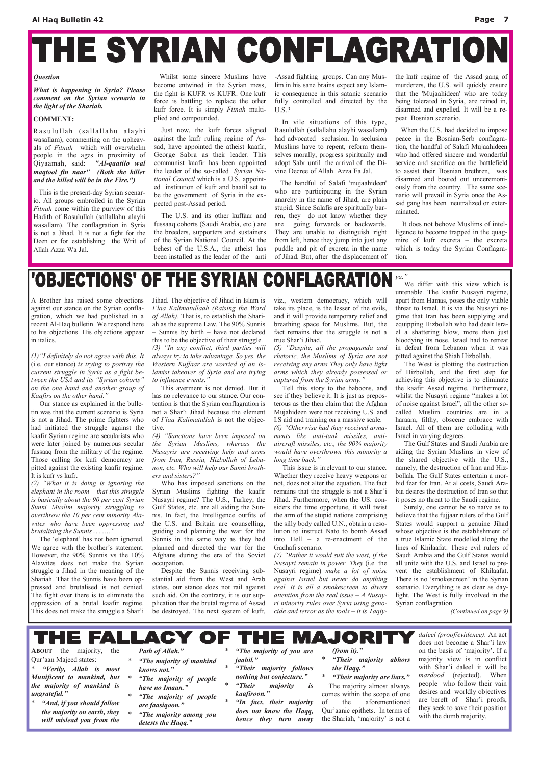# THE SYRIAN CONFLAGRATION

#### **Question**

ABOUT the majority, the Qur'aan Majeed states:

- \* "Verily, Allah is most Munificent to mankind, but the majority of mankind is ungrateful."
- "And, if you should follow the majority on earth, they will mislead you from the
- Path of Allah."
- \* "The majority of mankind knows not."
- \* "The majority of people have no Imaan."
- \* "The majority of people are faasiqoon."
- \* "The majority among you detests the Haqq."
- "The majority of you are jaahil."
- \* "Their majority follows nothing but conjecture." \* "Their majority is kaafiroon."
- "In fact, their majority does not know the Haqq, hence they turn away
- (from it). $"$
- \* "Their majority abhors the Haqq.'
- \* "Their majority are liars." The majority almost always comes within the scope of one of the aforementioned Qur'aanic epithets. In terms of the Shariah, 'majority' is not a

Rasulullah (sallallahu alayhi wasallam), commenting on the upheavals of Fitnah which will overwhelm people in the ages in proximity of Qiyaamah, said: "Al-qaatilo wal maqtool fin naar" (Both the killer and the killed will be in the Fire.")

> daleel (proof/evidence). An act does not become a Shar'i law on the basis of 'majority'. If a majority view is in conflict with Shar'i daleel it will be mardood (rejected). When people who follow their vain desires and worldly objectives are bereft of Shar'i proofs, they seek to save their position with the dumb majority.

What is happening in Syria? Please comment on the Syrian scenario in the light of the Shariah.

#### COMMENT:

 This is the present-day Syrian scenario. All groups embroiled in the Syrian Fitnah come within the purview of this Hadith of Rasulullah (sallallahu alayhi wasallam). The conflagration in Syria is not a Jihad. It is not a fight for the Deen or for establishing the Writ of Allah Azza Wa Jal.

 Whilst some sincere Muslims have become entwined in the Syrian mess, the fight is KUFR vs KUFR. One kufr force is battling to replace the other kufr force. It is simply Fitnah multiplied and compounded.

 Just now, the kufr forces aligned against the kufr ruling regime of Assad, have appointed the atheist kaafir, George Sabra as their leader. This communist kaafir has been appointed the leader of the so-called Syrian National Council which is a U.S. appointed institution of kufr and baatil set to be the government of Syria in the expected post-Assad period.

(2) "What it is doing is ignoring the elephant in the room – that this struggle is basically about the 90 per cent Syrian Sunni Muslim majority struggling to overthrow the 10 per cent minority Alawites who have been oppressing and brutalising the Sunnis………

 The U.S. and its other kuffaar and fussaaq cohorts (Saudi Arabia, etc.) are the breeders, supporters and sustainers of the Syrian National Council. At the behest of the U.S.A., the atheist has been installed as the leader of the anti

-Assad fighting groups. Can any Muslim in his sane brains expect any Islamic consequence in this satanic scenario fully controlled and directed by the U.S.?

 In vile situations of this type, Rasulullah (sallallahu alayhi wasallam) had advocated seclusion. In seclusion Muslims have to repent, reform themselves morally, progress spiritually and adopt Sabr until the arrival of the Divine Decree of Allah Azza Ea Jal.

 The handful of Salafi 'mujaahideen' who are participating in the Syrian anarchy in the name of Jihad, are plain stupid. Since Salafis are spiritually barren, they do not know whether they are going forwards or backwards. They are unable to distinguish right from left, hence they jump into just any puddle and pit of excreta in the name of Jihad. But, after the displacement of the kufr regime of the Assad gang of murderers, the U.S. will quickly ensure that the 'Mujaahideen' who are today being tolerated in Syria, are reined in, disarmed and expelled. It will be a repeat Bosnian scenario.

 When the U.S. had decided to impose peace in the Bosnian-Serb conflagration, the handful of Salafi Mujaahideen who had offered sincere and wonderful service and sacrifice on the battlefield to assist their Bosnian brethren, was disarmed and booted out unceremoniously from the country. The same scenario will prevail in Syria once the Assad gang has been neutralized or exterminated.

 It does not behove Muslims of intelligence to become trapped in the quagmire of kufr excreta – the excreta which is today the Syrian Conflagration.

(7) "Rather it would suit the west, if the Nusayri remain in power. They (i.e. the Nusayri regime) make a lot of noise against Israel but never do anything real. It is all a smokescreen to divert attention from the real issue  $-A$  Nusayri minority rules over Syria using genocide and terror as the tools  $-$  it is Taqiy-

#### **'OBJECTIONS' OF THE SYRIAN CONFLAGRATION** ya."

A Brother has raised some objections against our stance on the Syrian conflagration, which we had published in a recent Al-Haq bulletin. We respond here to his objections. His objections appear in italics.

(1)"I definitely do not agree with this. It (i.e. our stance) is trying to portray the current struggle in Syria as a fight between the USA and its "Syrian cohorts" on the one hand and another group of Kaafirs on the other hand."

 Our stance as explained in the bulletin was that the current scenario is Syria is not a Jihad. The prime fighters who had initiated the struggle against the kaafir Syrian regime are secularists who were later joined by numerous secular fussaaq from the military of the regime. Those calling for kufr democracy are pitted against the existing kaafir regime. It is kufr vs kufr.

 The 'elephant' has not been ignored. We agree with the brother's statement. However, the 90% Sunnis vs the 10% Alawites does not make the Syrian struggle a Jihad in the meaning of the Shariah. That the Sunnis have been oppressed and brutalised is not denied. The fight over there is to eliminate the oppression of a brutal kaafir regime. This does not make the struggle a Shar'i Jihad. The objective of Jihad in Islam is I'laa Kalimatullaah (Raising the Word of Allah). That is, to establish the Shariah as the supreme Law. The 90% Sunnis – Sunnis by birth – have not declared this to be the objective of their struggle. (3) "In any conflict, third parties will always try to take advantage. So yes, the Western Kuffaar are worried of an Islamist takeover of Syria and are trying to influence events."

 This averment is not denied. But it has no relevance to our stance. Our contention is that the Syrian conflagration is not a Shar'i Jihad because the element of I'laa Kalimatullah is not the objective.

(4) "Sanctions have been imposed on the Syrian Muslims, whereas the Nusayris are receiving help and arms from Iran, Russia, Hizbollah of Lebanon, etc. Who will help our Sunni brothers and sisters?"

 Who has imposed sanctions on the Syrian Muslims fighting the kaafir Nusayri regime? The U.S., Turkey, the Gulf States, etc. are all aiding the Sunnis. In fact, the Intelligence outfits of the U.S. and Britain are counselling, guiding and planning the war for the Sunnis in the same way as they had planned and directed the war for the Afghans during the era of the Soviet occupation.

 Despite the Sunnis receiving substantial aid from the West and Arab states, our stance does not rail against such aid. On the contrary, it is our supplication that the brutal regime of Assad be destroyed. The next system of kufr, viz., western democracy, which will take its place, is the lesser of the evils, and it will provide temporary relief and breathing space for Muslims. But, the fact remains that the struggle is not a true Shar'i Jihad.

(5) "Despite, all the propaganda and rhetoric, the Muslims of Syria are not receiving any arms They only have light arms which they already possessed or captured from the Syrian army."

 Tell this story to the baboons, and see if they believe it. It is just as preposterous as the then claim that the Afghan Mujahideen were not receiving U.S. and I.S aid and training on a massive scale. (6) "Otherwise had they received armaments like anti-tank missiles, antiaircraft missiles, etc., the 90% majority would have overthrown this minority a long time back."

 This issue is irrelevant to our stance. Whether they receive heavy weapons or not, does not alter the equation. The fact remains that the struggle is not a Shar'i Jihad. Furthermore, when the US. considers the time opportune, it will twist the arm of the stupid nations comprising the silly body called U.N., obtain a resolution to instruct Nato to bomb Assad into Hell – a re-enactment of the Gadhafi scenario.

 We differ with this view which is untenable. The kaafir Nusayri regime, apart from Hamas, poses the only viable threat to Israel. It is via the Nusayri regime that Iran has been supplying and equipping Hizbollah who had dealt Israel a shattering blow, more than just bloodying its nose. Israel had to retreat in defeat from Lebanon when it was pitted against the Shiah Hizbollah.

 The West is plotting the destruction of Hizbollah, and the first step for achieving this objective is to eliminate the kaafir Assad regime. Furthermore, whilst the Nusayri regime "makes a lot of noise against Israel", all the other socalled Muslim countries are in a haraam, filthy, obscene embrace with Israel. All of them are colluding with Israel in varying degrees.

 The Gulf States and Saudi Arabia are aiding the Syrian Muslims in view of the shared objective with the U.S., namely, the destruction of Iran and Hizbollah. The Gulf States entertain a morbid fear for Iran. At al costs, Saudi Arabia desires the destruction of Iran so that it poses no threat to the Saudi regime.

 Surely, one cannot be so naïve as to believe that the fujjaar rulers of the Gulf States would support a genuine Jihad whose objective is the establishment of a true Islamic State modelled along the lines of Khilaafat. These evil rulers of Saudi Arabia and the Gulf States would all unite with the U.S. and Israel to prevent the establishment of Khilaafat. There is no 'smokescreen' in the Syrian scenario. Everything is as clear as daylight. The West is fully involved in the Syrian conflagration.

(Continued on page 9)

#### IOR AC.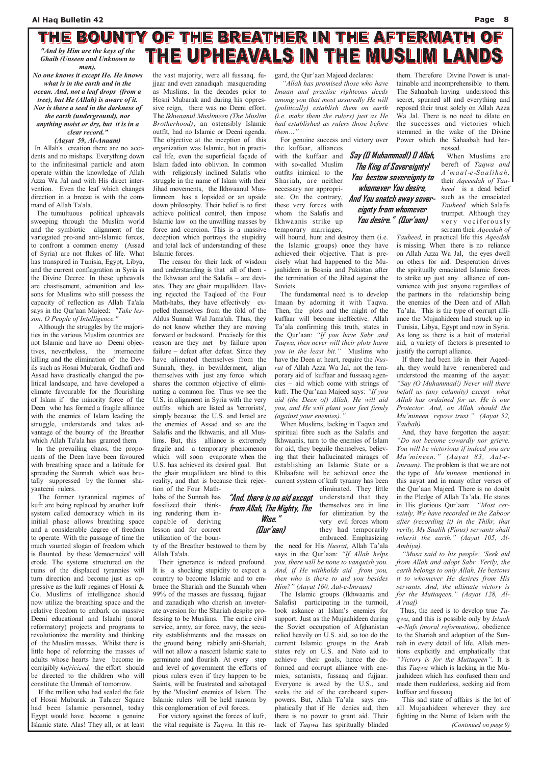#### THE BOUNTY OF THE BREATHER IN THE AFTERMATH OF "And by Him are the keys of the THE UPHEAVALS IN THE MUSLIM LANDS Ghaib (Unseen and Unknown to man).

No one knows it except He. He knows what is in the earth and in the ocean. And, not a leaf drops (from a tree), but He (Allah) is aware of it. Nor is there a seed in the darkness of the earth (underground), nor anything moist or dry, but it is in a clear record."

#### (Aayat 59, Al-Anaam)

 In Allah's creation there are no accidents and no mishaps. Everything down to the infinitesimal particle and atom operate within the knowledge of Allah Azza Wa Jal and with His direct intervention. Even the leaf which changes direction in a breeze is with the command of Allah Ta'ala.

 The tumultuous political upheavals sweeping through the Muslim world and the symbiotic alignment of the variegated pro-and anti-Islamic forces, to confront a common enemy (Assad of Syria) are not flukes of life. What has transpired in Tunisia, Egypt, Libya, and the current conflagration in Syria is the Divine Decree. In these upheavals are chastisement, admonition and lessons for Muslims who still possess the capacity of reflection as Allah Ta'ala says in the Qur'aan Majeed: "Take lesson, O People of Intelligence."

 Although the struggles by the majorities in the various Muslim countries are not Islamic and have no Deeni objectives, nevertheless, the internecine killing and the elimination of the Devils such as Hosni Mubarak, Gadhafi and Assad have drastically changed the political landscape, and have developed a climate favourable for the flourishing of Islam if the minority force of the Deen who has formed a fragile alliance with the enemies of Islam leading the struggle, understands and takes advantage of the bounty of the Breather which Allah Ta'ala has granted them.

 In the prevailing chaos, the proponents of the Deen have been favoured with breathing space and a latitude for spreading the Sunnah which was brutally suppressed by the former shayaateeni rulers.

 The former tyrannical regimes of kufr are being replaced by another kufr system called democracy which in its initial phase allows breathing space and a considerable degree of freedom to operate. With the passage of time the much vaunted slogan of freedom which is flaunted by these 'democracies' will erode. The systems structured on the ruins of the displaced tyrannies will turn direction and become just as oppressive as the kufr regimes of Hosni & Co. Muslims of intelligence should now utilize the breathing space and the relative freedom to embark on massive Deeni educational and Islaahi (moral reformatory) projects and programs to revolutionize the morality and thinking of the Muslim masses. Whilst there is little hope of reforming the masses of adults whose hearts have become incorrigibly kufricized, the effort should be directed to the children who will constitute the Ummah of tomorrow. If the million who had sealed the fate of Hosni Mubarak in Tahreer Square had been Islamic personnel, today Egypt would have become a genuine Islamic state. Alas! They all, or at least

will hound, hunt and destroy them (i.e. the Islamic groups) once they have achieved their objective. That is precisely what had happened to the Mujaahideen in Bosnia and Pakistan after the termination of the Jihad against the Soviets.

the vast majority, were all fussaaq, fujjaar and even zanadiqah masquerading as Muslims. In the decades prior to Hosni Mubarak and during his oppressive reign, there was no Deeni effort. The Ikhwaanul Muslimeen (The Muslim Brotherhood), an ostensibly Islamic outfit, had no Islamic or Deeni agenda. The objective at the inception of this organization was Islamic, but in practical life, even the superficial façade of Islam faded into oblivion. In common with religiously inclined Salafis who struggle in the name of Islam with their Jihad movements, the Ikhwaanul Muslimneen has a lopsided or an upside down philosophy. Their belief is to first achieve political control, then impose Islamic law on the unwilling masses by force and coercion. This is a massive deception which portrays the stupidity and total lack of understanding of these Islamic forces.

> The Islamic groups (Ikhwaanis and Salafis) participating in the turmoil, look askance at Islam's enemies for support. Just as the Mujaahideen during the Soviet occupation of Afghanistan relied heavily on U.S. aid, so too do the current Islamic groups in the Arab states rely on U.S. and Nato aid to achieve their goals, hence the deformed and corrupt alliance with enemies, satanists, fussaaq and fujjaar. Everyone is awed by the U.S., and seeks the aid of the cardboard superpowers. But, Allah Ta'ala says emphatically that if He denies aid, then there is no power to grant aid. Their lack of Taqwa has spiritually blinded

 The reason for their lack of wisdom and understanding is that all of them the Ikhwaan and the Salafis – are deviates. They are ghair muqallideen. Having rejected the Taqleed of the Four Math-habs, they have effectively expelled themselves from the fold of the Ahlus Sunnah Wal Jama'ah. Thus, they do not know whether they are moving forward or backward. Precisely for this reason are they met by failure upon failure – defeat after defeat. Since they have alienated themselves from the Sunnah, they, in bewilderment, align themselves with just any force which shares the common objective of eliminating a common foe. Thus we see the U.S. in alignment in Syria with the very outfits which are listed as 'terrorists', simply because the U.S. and Israel are the enemies of Assad and so are the Salafis and the Ikhwanis, and all Muslims. But, this alliance is extremely fragile and a temporary phenomenon which will soon evaporate when the U.S. has achieved its desired goal. But the ghair muqallideen are blind to this reality, and that is because their rejection of the Four Math-

habs of the Sunnah has fossilized their thinking rendering them incapable of deriving lesson and for correct utilization of the boun-

ty of the Breather bestowed to them by Allah Ta'ala.

 Their ignorance is indeed profound. It is a shocking stupidity to expect a country to become Islamic and to embrace the Shariah and the Sunnah when 99% of the masses are fussaaq, fujjaar and zanadiqah who cherish an inveterate aversion for the Shariah despite professing to be Muslims. The entire civil service, army, air force, navy, the security establishments and the masses on the ground being rabidly anti-Shariah, will not allow a nascent Islamic state to germinate and flourish. At every step and level of government the efforts of pious rulers even if they happen to be Saints, will be frustrated and sabotaged by the 'Muslim' enemies of Islam. The Islamic rulers will be held ransom by this conglomeration of evil forces.

 For victory against the forces of kufr, the vital requisite is Taqwa. In this regard, the Qur'aan Majeed declares:

 "Allah has promised those who have Imaan and practise righteous deeds among you that most assuredly He will (politically) establish them on earth (i.e. make them the rulers) just as He had established as rulers those before them…"

For genuine success and victory over

 The fundamental need is to develop Imaan by adorning it with Taqwa. Then, the plots and the might of the kuffaar will become ineffective. Allah Ta'ala confirming this truth, states in the Qur'aan: "If you have Sabr and Taqwa, then never will their plots harm you in the least bit." Muslims who have the Deen at heart, require the Nusrat of Allah Azza Wa Jal, not the temporary aid of kuffaar and fussaaq agencies – aid which come with strings of kufr. The Qur'aan Majeed says: "If you aid (the Deen of) Allah, He will aid you, and He will plant your feet firmly (against your enemies)."

 When Muslims, lacking in Taqwa and spiritual fibre such as the Salafis and Ikhwaanis, turn to the enemies of Islam for aid, they beguile themselves, believing that their hallucinated mirages of establishing an Islamic State or a Khilaafate will be achieved once the current system of kufr tyranny has been

eliminated. They little understand that they themselves are in line for elimination by the very evil forces whom they had temporarily embraced. Emphasizing

the need for His Nusrat, Allah Ta'ala says in the Qur'aan: "If Allah helps you, there will be none to vanquish you. And, if He withholds aid from you,

then who is there to aid you besides Him?" (Aayat 160, Aal-e-Imraan)

them. Therefore Divine Power is unattainable and incomprehensible to them. The Sahaabah having understood this secret, spurned all and everything and reposed their trust solely on Allah Azza Wa Jal. There is no need to dilate on the successes and victories which stemmed in the wake of the Divine Power which the Sahaabah had harnessed.

the kuffaar, alliances with the kuffaar and with so-called Muslim outfits inimical to the Shariah, are neither necessary nor appropriate. On the contrary, these very forces with whom the Salafis and Ikhwaanis strike up temporary marriages, Say (O Muhammad!) O Allah, The King of Sovereignty! You bestow sovereignty to whomever You desire, And You snatch away sovereignty from whomever You desire." (Qur'aan)

 When Muslims are bereft of Taqwa and A 'm a a l -e-S a alihah, their Aqeeedah of Tauheed is a dead belief such as the emaciated Tauheed which Salafis trumpet. Although they very vociferously scream their Aqeedah of

Tauheed, in practical life this Aqeedah is missing. When there is no reliance on Allah Azza Wa Jal, the eyes dwell on others for aid. Desperation drives the spiritually emaciated Islamic forces to strike up just any alliance of convenience with just anyone regardless of the partners in the relationship being the enemies of the Deen and of Allah Ta'ala. This is the type of corrupt alliance the Mujaahideen had struck up in Tunisia, Libya, Egypt and now in Syria. As long as there is a bait of material aid, a variety of factors is presented to justify the corrupt alliance.

 If there had been life in their Aqeedah, they would have remembered and understood the meaning of the aayat: "Say (O Muhammad!) Never will there befall us (any calamity) except what Allah has ordained for us. He is our Protector. And, on Allah should the Mu'mineen repose trust." (Aayat 52, Taubah)

 And, they have forgotten the aayat: "Do not become cowardly nor grieve. You will be victorious if indeed you are Mu'mineen." (Aayat 83, Aal-e-Imraan). The problem is that we are not the type of Mu'mineen mentioned in this aayat and in many other verses of the Qur'aan Majeed. There is no doubt in the Pledge of Allah Ta'ala. He states in His glorious Qur'aan: "Most certainly, We have recorded in the Zaboor after (recording it) in the Thikr, that verily, My Saalih (Pious) servants shall inherit the earth." (Aayat 105, Al-Ambiya).

 "Musa said to his people: 'Seek aid from Allah and adopt Sabr. Verily, the earth belongs to only Allah. He bestows it to whomever He desires from His servants. And, the ultimate victory is for the Muttaqeen." (Aayat 128, Al-A'raaf) Thus, the need is to develop true Taqwa, and this is possible only by Islaah -e-Nafs (moral reformation), obedience to the Shariah and adoption of the Sunnah in every detail of life. Allah mentions explicitly and emphatically that "Victory is for the Muttaqeen". It is this Taqwa which is lacking in the Mujaahideen which has confused them and made them rudderless, seeking aid from kuffaar and fussaaq. This sad state of affairs is the lot of all Mujaahideen wherever they are fighting in the Name of Islam with the (Continued on page 9)

"And, there is no aid except from Allah, The Mighty, The Wise." (Qur'aan)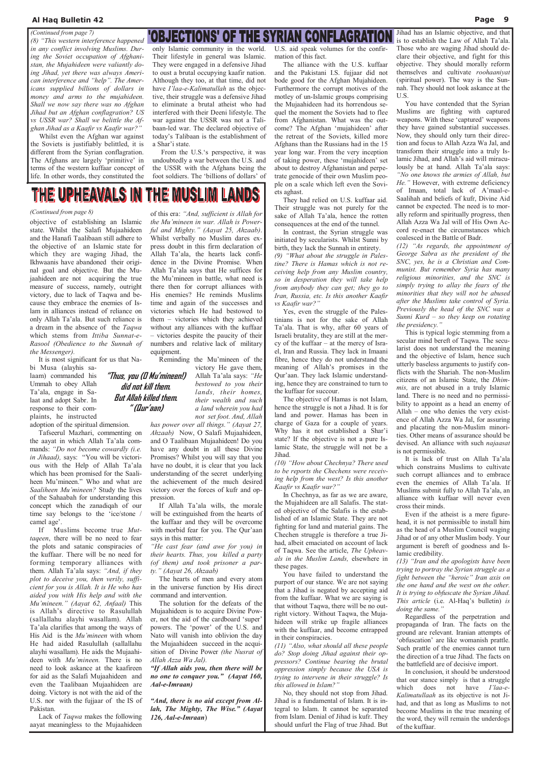#### Al Haq Bulletin 42 Page 9

(8) "This western interference happened in any conflict involving Muslims. During the Soviet occupation of Afghanistan, the Mujahideen were valiantly doing Jihad, yet there was always American interference and "help". The Americans supplied billions of dollars in money and arms to the mujahideen. Shall we now say there was no Afghan Jihad but an Afghan conflagration? US vs USSR war? Shall we belittle the Afghan Jihad as a Kaafir vs Kaafir war?"

 Whilst even the Afghan war against the Soviets is justifiably belittled, it is different from the Syrian conflagration. The Afghans are largely 'primitive' in terms of the western kuffaar concept of life. In other words, they constituted the

'OBJECTIONS' OF THE SYRIAN CONFLAGRATIO only Islamic community in the world. Their lifestyle in general was Islamic. They were engaged in a defensive Jihad to oust a brutal occupying kaafir nation. Although they too, at that time, did not have I'laa-e-Kalimatullah as the objective, their struggle was a defensive Jihad to eliminate a brutal atheist who had interfered with their Deeni lifestyle. The war against the USSR was not a Talibaan-led war. The declared objective of today's Talibaan is the establishment of a Shar'i state.

 From the U.S.'s perspective, it was undoubtedly a war between the U.S. and the USSR with the Afghans being the foot soldiers. The 'billions of dollars' of

#### <u>THE UPHEAVALS IN</u> **THE MUSLIM LANDS**

U.S. aid speak volumes for the confirmation of this fact.

 The alliance with the U.S. kuffaar and the Pakistani I.S. fujjaar did not bode good for the Afghan Mujahideen. Furthermore the corrupt motives of the motley of un-Islamic groups comprising the Mujaahideen had its horrendous sequel the moment the Soviets had to flee from Afghanistan. What was the outcome? The Afghan 'mujahideen' after the retreat of the Soviets, killed more Afghans than the Russians had in the 15 year long war. From the very inception of taking power, these 'mujahideen' set about to destroy Afghanistan and perpetrate genocide of their own Muslim people on a scale which left even the Soviets aghast.

 They had relied on U.S. kuffaar aid. Their struggle was not purely for the sake of Allah Ta'ala, hence the rotten consequences at the end of the tunnel.

 In contrast, the Syrian struggle was initiated by secularists. Whilst Sunni by birth, they lack the Sunnah in entirety. (9) "What about the struggle in Palestine? There is Hamas which is not receiving help from any Muslim country, so in desperation they will take help from anybody they can get; they go to Iran, Russia, etc. Is this another Kaafir vs Kaafir war?"

 Yes, even the struggle of the Palestinians is not for the sake of Allah Ta'ala. That is why, after 60 years of Israeli brutality, they are still at the mercy of the kuffaar – at the mercy of Israel, Iran and Russia. They lack in Imaani fibre, hence they do not understand the meaning of Allah's promises in the Qur'aan. They lack Islamic understanding, hence they are constrained to turn to the kuffaar for succour.

 The objective of Hamas is not Islam, hence the struggle is not a Jihad. It is for land and power. Hamas has been in charge of Gaza for a couple of years. Why has it not established a Shar'i state? If the objective is not a pure Islamic State, the struggle will not be a Jihad.

(10) "How about Chechnya? There used to be reports the Chechens were receiving help from the west? Is this another Kaafir vs Kaafir war?"

 In Chechnya, as far as we are aware, the Mujahideen are all Salafis. The stated objective of the Salafis is the established of an Islamic State. They are not fighting for land and material gains. The Chechen struggle is therefore a true Jihad, albeit emaciated on account of lack of Taqwa. See the article, The Upheavals in the Muslim Lands, elsewhere in these pages.

 You have failed to understand the purport of our stance. We are not saying that a Jihad is negated by accepting aid from the kuffaar. What we are saying is that without Taqwa, there will be no outright victory. Without Taqwa, the Mujahideen will strike up fragile alliances with the kuffaar, and become entrapped in their conspiracies. (11) "Also, what should all these people do? Stop doing Jihad against their oppressors? Continue bearing the brutal oppression simply because the USA is trying to intervene in their struggle? Is this allowed in Islam?" No, they should not stop from Jihad. Jihad is a fundamental of Islam. It is integral to Islam. It cannot be separated from Islam. Denial of Jihad is kufr. They should unfurl the Flag of true Jihad. But

Jihad has an Islamic objective, and that is to establish the Law of Allah Ta'ala. Those who are waging Jihad should declare their objective, and fight for this objective. They should morally reform themselves and cultivate roohaaniyat (spiritual power). The way is the Sunnah. They should not look askance at the U.S.

 You have contended that the Syrian Muslims are fighting with captured weapons. With these 'captured' weapons they have gained substantial successes. Now, they should only turn their direction and focus to Allah Azza Wa Jal, and transform their struggle into a truly Islamic Jihad, and Allah's aid will miraculously be at hand. Allah Ta'ala says: "No one knows the armies of Allah, but He." However, with extreme deficiency of Imaan, total lack of A'maal-e-Saalihah and beliefs of kufr, Divine Aid cannot be expected. The need is to morally reform and spiritually progress, then Allah Azza Wa Jal will of His Own Accord re-enact the circumstances which coalesced in the Battle of Badr.

(12) "As regards, the appointment of George Sabra as the president of the SNC, yes, he is a Christian and Communist. But remember Syria has many religious minorities, and the SNC is simply trying to allay the fears of the minorities that they will not be abused after the Muslims take control of Syria. Previously the head of the SNC was a Sunni Kurd – so they keep on rotating the presidency."

 This is typical logic stemming from a secular mind bereft of Taqwa. The secularist does not understand the meaning and the objective of Islam, hence such utterly baseless arguments to justify conflicts with the Shariah. The non-Muslim citizens of an Islamic State, the Dhimmis, are not abused in a truly Islamic land. There is no need and no permissibility to appoint as a head an enemy of Allah – one who denies the very existence of Allah Azza Wa Jal, for assuring and placating the non-Muslim minorities. Other means of assurance should be devised. An alliance with such najaasat is not permissible.

 It is lack of trust on Allah Ta'ala which constrains Muslims to cultivate such corrupt alliances and to embrace even the enemies of Allah Ta'ala. If Muslims submit fully to Allah Ta'ala, an alliance with kuffaar will never even cross their minds.

 Even if the atheist is a mere figurehead, it is not permissible to install him as the head of a Muslim Council waging Jihad or of any other Muslim body. Your argument is bereft of goodness and Islamic credibility.

(13) "Iran and the apologists have been trying to portray the Syrian struggle as a fight between the "heroic" Iran axis on the one hand and the west on the other. It is trying to obfuscate the Syrian Jihad. This article (i.e. Al-Haq's bulletin) is doing the same." Regardless of the perpetration and propaganda of Iran. The facts on the ground are relevant. Iranian attempts of 'obfuscation' are like womanish prattle. Such prattle of the enemies cannot turn the direction of a true Jihad. The facts on the battlefield are of decisive import. In conclusion, it should be understood that our stance simply is that a struggle which does not have I'laa-e-Kalimatullaah as its objective is not Jihad, and that as long as Muslims to not become Muslims in the true meaning of the word, they will remain the underdogs of the kuffaar.

#### (Continued from page 7)

objective of establishing an Islamic state. Whilst the Salafi Mujaahideen and the Hanafi Taalibaan still adhere to the objective of an Islamic state for which they are waging Jihad, the Ikhwaanis have abandoned their original goal and objective. But the Mujaahideen are not acquiring the true measure of success, namely, outright victory, due to lack of Taqwa and because they embrace the enemies of Islam in alliances instead of reliance on only Allah Ta'ala. But such reliance is a dream in the absence of the Taqwa which stems from Ittiba Sunnat-e-Rasool (Obedience to the Sunnah of the Messenger).

It is most significant for us that Na-

bi Musa (alayhis salaam) commanded his Ummah to obey Allah Ta'ala, engage in Salaat and adopt Sabr. In response to their complaints, he instructed

adoption of the spiritual dimension.

 Tafseerul Mazhari, commenting on the aayat in which Allah Ta'ala commands: "Do not become cowardly (i.e. in Jihaad), says: "You will be victorious with the Help of Allah Ta'ala which has been promised for the Saaliheen Mu'mineen." Who and what are Saaliheen Mu'mineen? Study the lives of the Sahaabah for understanding this concept which the zanadiqah of our time say belongs to the 'ice/stone / camel age'.

 If Muslims become true Muttaqeen, there will be no need to fear the plots and satanic conspiracies of the kuffaar. There will be no need for forming temporary alliances with them. Allah Ta'ala says: "And, if they plot to deceive you, then verily, sufficient for you is Allah. It is He who has aided you with His help and with the Mu'mineen." (Aayat 62, Anfaal) This is Allah's directive to Rasulullah (sallallahu alayhi wasallam). Allah Ta'ala clarifies that among the ways of His Aid is the *Mu'mineen* with whom He had aided Rasulullah (sallallahu alayhi wasallam). He aids the Mujaahideen with *Mu'mineen*. There is no need to look askance at the kaafireen for aid as the Salafi Mujaahideen and even the Taalibaan Mujaahideen are doing. Victory is not with the aid of the U.S. nor with the fujjaar of the IS of Pakistan.

 Lack of Taqwa makes the following aayat meaningless to the Mujaahideen

of this era: "And, sufficient is Allah for the Mu'mineen in war. Allah is Powerful and Mighty." (Aayat 25, Ahzaab). Whilst verbally no Muslim dares express doubt in this firm declaration of Allah Ta'ala, the hearts lack confidence in the Divine Promise. When Allah Ta'ala says that He suffices for the Mu'mineen in battle, what need is there then for corrupt alliances with His enemies? He reminds Muslims time and again of the successes and victories which He had bestowed to them – victories which they achieved without any alliances with the kuffaar – victories despite the paucity of their numbers and relative lack of military equipment.

Reminding the Mu'mineen of the

victory He gave them, Allah Ta'ala says: "He bestowed to you their lands, their homes, their wealth and such a land wherein you had not set foot. And, Allah

has power over all things." (Aayat 27, Ahzaab) Now, O Salafi Mujaahideen, and O Taalibaan Mujaahideen! Do you have any doubt in all these Divine Promises? Whilst you will say that you have no doubt, it is clear that you lack understanding of the secret underlying the achievement of the much desired victory over the forces of kufr and oppression.

 If Allah Ta'ala wills, the morale will be extinguished from the hearts of the kuffaar and they will be overcome with morbid fear for you. The Qur'aan says in this matter:

"He cast fear (and awe for you) in their hearts. Thus, you killed a party (of them) and took prisoner a party." (Aayat 26, Ahzaab)

 The hearts of men and every atom in the universe function by His direct command and intervention.

 The solution for the defeats of the Mujaahideen is to acquire Divine Power, not the aid of the cardboard 'super' powers. The 'power' of the U.S. and Nato will vanish into oblivion the day the Mujaahideen succeed in the acquisition of Divine Power (the Nusrat of Allah Azza Wa Jal).

"If Allah aids you, then there will be no one to conquer you." (Aayat 160, Aal-e-Imraan)

"And, there is no aid except from Allah, The Mighty, The Wise." (Aayat 126, Aal-e-Imraan)

#### (Continued from page 8)

"Thus, you (O Mu'mineen!) did not kill them. But Allah killed them. " (Qur'aan)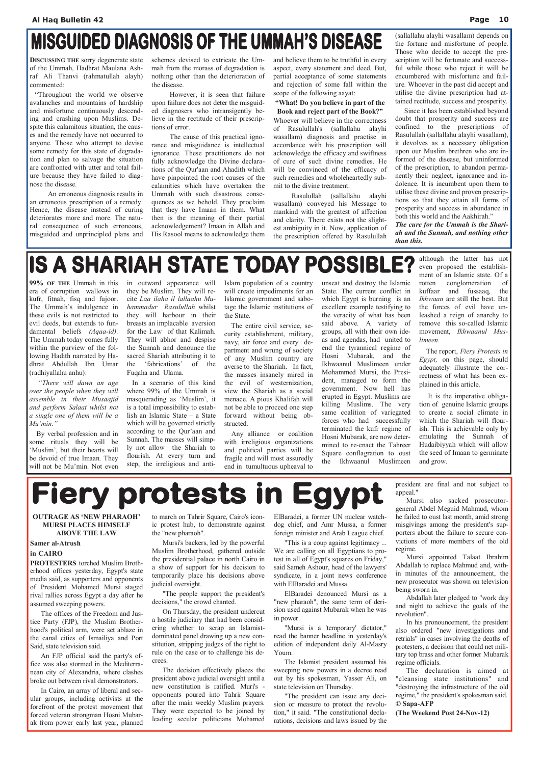## **MISGUIDED DIAGNOSIS OF THE UMMAH'S DISEASE**

DISCUSSING THE sorry degenerate state of the Ummah, Hadhrat Maulana Ashraf Ali Thanvi (rahmatullah alayh) commented:

 "Throughout the world we observe avalanches and mountains of hardship and misfortune continuously descending and crashing upon Muslims. Despite this calamitous situation, the causes and the remedy have not occurred to anyone. Those who attempt to devise some remedy for this state of degradation and plan to salvage the situation are confronted with utter and total failure because they have failed to diagnose the disease.

 An erroneous diagnosis results in an erroneous prescription of a remedy. Hence, the disease instead of curing deteriorates more and more. The natural consequence of such erroneous, misguided and unprincipled plans and schemes devised to extricate the Ummah from the morass of degradation is nothing other than the deterioration of the disease.

 However, it is seen that failure upon failure does not deter the misguided diagnosers who intransigently believe in the rectitude of their prescriptions of error.

 The cause of this practical ignorance and misguidance is intellectual ignorance. These practitioners do not fully acknowledge the Divine declarations of the Qur'aan and Ahadith which have pinpointed the root causes of the calamities which have overtaken the Ummah with such disastrous consequences as we behold. They proclaim that they have Imaan in them. What then is the meaning of their partial acknowledgement? Imaan in Allah and His Rasool means to acknowledge them

and believe them to be truthful in every aspect, every statement and deed. But, partial acceptance of some statements and rejection of some fall within the scope of the following aayat:

#### "What! Do you believe in part of the Book and reject part of the Book?"

Whoever will believe in the correctness of Rasulullah's (sallallahu alayhi wasallam) diagnosis and practise in accordance with his prescription will acknowledge the efficacy and swiftness of cure of such divine remedies. He will be convinced of the efficacy of such remedies and wholeheartedly submit to the divine treatment.

 Rasulullah (sallallahu alayhi wasallam) conveyed his Message to mankind with the greatest of affection and clarity. There exists not the slightest ambiguity in it. Now, application of the prescription offered by Rasulullah

(sallallahu alayhi wasallam) depends on the fortune and misfortune of people. Those who decide to accept the prescription will be fortunate and successful while those who reject it will be encumbered with misfortune and failure. Whoever in the past did accept and utilise the divine prescription had attained rectitude, success and prosperity.

 Since it has been established beyond doubt that prosperity and success are confined to the prescriptions of Rasulullah (sallallahu alayhi wasallam), it devolves as a necessary obligation upon our Muslim brethren who are informed of the disease, but uninformed of the prescription, to abandon permanently their neglect, ignorance and indolence. It is incumbent upon them to utilise these divine and proven prescriptions so that they attain all forms of prosperity and success in abundance in both this world and the Aakhirah."

The cure for the Ummah is the Shariah and the Sunnah, and nothing other than this.

## **IS A SHARIAH STATE TODAY POSSIBLE?**

OUTRAGE AS 'NEW PHARAOH' MURSI PLACES HIMSELF ABOVE THE LAW

#### Samer al-Atrush

#### in CAIRO

PROTESTERS torched Muslim Brotherhood offices yesterday, Egypt's state

media said, as supporters and opponents of President Mohamed Mursi staged rival rallies across Egypt a day after he assumed sweeping powers.

 The offices of the Freedom and Justice Party (FJP), the Muslim Brotherhood's political arm, were set ablaze in the canal cities of Ismailiya and Port Said, state television said.

 An FJP official said the party's office was also stormed in the Mediterranean city of Alexandria, where clashes broke out between rival demonstrators.

 In Cairo, an array of liberal and secular groups, including activists at the forefront of the protest movement that forced veteran strongman Hosni Mubarak from power early last year, planned to march on Tahrir Square, Cairo's iconic protest hub, to demonstrate against the "new pharaoh".

 Mursi's backers, led by the powerful Muslim Brotherhood, gathered outside the presidential palace in north Cairo in a show of support for his decision to temporarily place his decisions above judicial oversight.

 "The people support the president's decisions," the crowd chanted.

 On Thursday, the president undercut a hostile judiciary that had been considering whether to scrap an Islamistdominated panel drawing up a new constitution, stripping judges of the right to rule on the case or to challenge his decrees.

 The decision effectively places the president above judicial oversight until a new constitution is ratified. Muri's opponents poured into Tahrir Square after the main weekly Muslim prayers. They were expected to be joined by leading secular politicians Mohamed

ElBaradei, a former UN nuclear watchdog chief, and Amr Mussa, a former foreign minister and Arab League chief.

 "This is a coup against legitimacy ... We are calling on all Egyptians to protest in all of Egypt's squares on Friday," said Sameh Ashour, head of the lawyers' syndicate, in a joint news conference with ElBaradei and Mussa.

 ElBaradei denounced Mursi as a "new pharaoh", the same term of derision used against Mubarak when he was in power.

 "Mursi is a 'temporary' dictator," read the banner headline in yesterday's edition of independent daily Al-Masry Youm.

 The Islamist president assumed his sweeping new powers in a decree read out by his spokesman, Yasser Ali, on state television on Thursday.

 "The president can issue any decision or measure to protect the revolution," it said. "The constitutional declarations, decisions and laws issued by the

president are final and not subject to appeal."

 Mursi also sacked prosecutorgeneral Abdel Meguid Mahmud, whom he failed to oust last month, amid strong misgivings among the president's supporters about the failure to secure convictions of more members of the old regime.

 Mursi appointed Talaat Ibrahim Abdallah to replace Mahmud and, within minutes of the announcement, the

new prosecutor was shown on television being sworn in.

 Abdallah later pledged to "work day and night to achieve the goals of the revolution".

 In his pronouncement, the president also ordered "new investigations and retrials" in cases involving the deaths of protesters, a decision that could net military top brass and other former Mubarak regime officials.

 The declaration is aimed at "cleansing state institutions" and "destroying the infrastructure of the old regime," the president's spokesman said. © Sapa-AFP

(The Weekend Post 24-Nov-12)

99% OF THE Ummah in this era of corruption wallows in kufr, fitnah, fisq and fujoor. The Ummah's indulgence in these evils is not restricted to evil deeds, but extends to fundamental beliefs (Aqaa-id). The Ummah today comes fully within the purview of the following Hadith narrated by Hadhrat Abdullah Ibn Umar (radhiyallahu anhu):

 "There will dawn an age over the people when they will assemble in their Musaajid and perform Salaat whilst not a single one of them will be a Mu'min."

 By verbal profession and in some rituals they will be 'Muslim', but their hearts will be devoid of true Imaan. They will not be Mu'min. Not even in outward appearance will they be Muslim. They will recite Laa ilaha il lallaahu Muhammadur Rasulullah whilst they will harbour in their breasts an implacable aversion for the Law of that Kalimah. They will abhor and despise the Sunnah and denounce the sacred Shariah attributing it to the 'fabrications' of the Fuqaha and Ulama.

 In a scenario of this kind where 99% of the Ummah is masquerading as 'Muslim', it is a total impossibility to establish an Islamic State – a State which will be governed strictly according to the Qur'aan and Sunnah. The masses will simply not allow the Shariah to flourish. At every turn and step, the irreligious and antiIslam population of a country will create impediments for an Islamic government and sabotage the Islamic institutions of the State.

 The entire civil service, security establishment, military, navy, air force and every department and wrung of society of any Muslim country are averse to the Shariah. In fact, the masses insanely mired in the evil of westernization, view the Shariah as a social menace. A pious Khalifah will not be able to proceed one step forward without being obstructed.

 Any alliance or coalition with irreligious organizations and political parties will be fragile and will most assuredly end in tumultuous upheaval to

unseat and destroy the Islamic State. The current conflict in which Egypt is burning is an excellent example testifying to the veracity of what has been said above. A variety of groups, all with their own ideas and agendas, had united to end the tyrannical regime of Hosni Mubarak, and the Ikhwaanul Muslimeen under Mohammed Mursi, the President, managed to form the government. Now hell has erupted in Egypt. Muslims are killing Muslims. The very same coalition of variegated forces who had successfully terminated the kufr regime of Hosni Mubarak, are now determined to re-enact the Tahreer Square conflagration to oust the Ikhwaanul Muslimeen

although the latter has not even proposed the establishment of an Islamic state. Of a rotten conglomeration of kuffaar and fussaaq, the Ikhwaan are still the best. But the forces of evil have unleashed a reign of anarchy to remove this so-called Islamic movement, Ikhwaanul Muslimeen.

 The report, Fiery Protests in Egypt, on this page, should adequately illustrate the correctness of what has been explained in this article.

 It is the imperative obligation of genuine Islamic groups to create a social climate in which the Shariah will flourish. This is achievable only by emulating the Sunnah of Hudaibiyyah which will allow the seed of Imaan to germinate and grow.

# **Fiery protests in Egypt**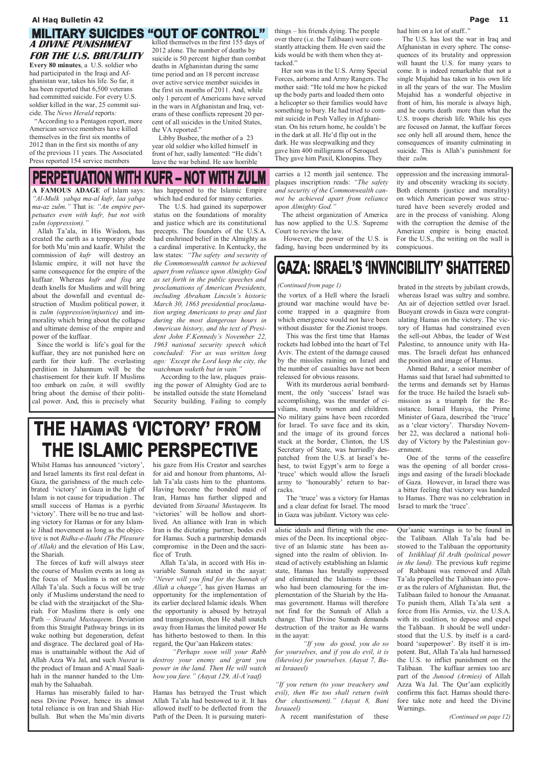Whilst Hamas has announced 'victory', and Israel laments its first real defeat in Gaza, the garishness of the much celebrated 'victory' in Gaza in the light of Islam is not cause for tripudiation . The small success of Hamas is a pyrrhic 'victory'. There will be no true and lasting victory for Hamas or for any Islamic Jihad movement as long as the objective is not Ridha-e-Ilaahi (The Pleasure of Allah) and the elevation of His Law, the Shariah.

 The forces of kufr will always steer the course of Muslim events as long as the focus of Muslims is not on only Allah Ta'ala. Such a focus will be true only if Muslims understand the need to be clad with the straitjacket of the Shariah. For Muslims there is only one Path – Siraatul Mustaqeem. Deviation from this Straight Pathway brings in its wake nothing but degeneration, defeat and disgrace. The declared goal of Hamas is unattainable without the Aid of Allah Azza Wa Jal, and such Nusrat is the product of Imaan and A'maal Saalihah in the manner handed to the Ummah by the Sahaabah. Hamas has miserably failed to harness Divine Power, hence its almost total reliance is on Iran and Shiah Hizbullah. But when the Mu'min diverts

 "Perhaps soon will your Rabb destroy your enemy and grant you power in the land. Then He will watch how you fare." (Aayat 129, Al-A'raaf)

his gaze from His Creator and searches for aid and honour from phantoms, Allah Ta'ala casts him to the phantoms. Having become the bonded maid of Iran, Hamas has further slipped and deviated from Siraatul Mustaqeem. Its 'victories' will be hollow and shortlived. An alliance with Iran in which Iran is the dictating partner, bodes evil for Hamas. Such a partnership demands compromise in the Deen and the sacrifice of Truth.

 Allah Ta'ala, in accord with His invariable Sunnah stated in the aayat:

"Never will you find for the Sunnah of Allah a change", has given Hamas an opportunity for the implementation of its earlier declared Islamic ideals. When the opportunity is abused by betrayal and transgression, then He shall snatch away from Hamas the limited power He has hitherto bestowed to them. In this regard, the Qur'aan Hakeem states:

Hamas has betrayed the Trust which Allah Ta'ala had bestowed to it. It has allowed itself to be deflected from the Path of the Deen. It is pursuing materialistic ideals and flirting with the enemies of the Deen. Its inceptional objective of an Islamic state has been assigned into the realm of oblivion. Instead of actively establishing an Islamic state, Hamas has brutally suppressed and eliminated the Islamists – those who had been clamouring for the implementation of the Shariah by the Hamas government. Hamas will therefore not find for the Sunnah of Allah a change. That Divine Sunnah demands destruction of the traitor as He warns in the aayat: "If you do good, you do so for yourselves, and if you do evil, it is (likewise) for yourselves. (Aayat 7, Bani Israaeel)

"If you return (to your treachery and evil), then We too shall return (with Our chastisement)." (Aayat 8, Bani Israaeel)

A recent manifestation of these

#### Al Haq Bulletin 42 **Page 11**

#### **MILITARY SUICIDES "OUT OF CONTROL"** A DIVINE PUNISHMENT FOR THE U.S. BRUTALITY

Qur'aanic warnings is to be found in the Talibaan. Allah Ta'ala had bestowed to the Talibaan the opportunity of Istikhlaaf fil Ardh (political power in the land). The previous kufr regime of Rabbaani was removed and Allah Ta'ala propelled the Talibaan into power as the rulers of Afghanistan. But, the Talibaan failed to honour the Amaanat. To punish them, Allah Ta'ala sent a force from His Armies, viz. the U.S.A. with its coalition, to depose and expel the Talibaan. It should be well understood that the U.S. by itself is a cardboard 'superpower'. By itself it is impotent. But, Allah Ta'ala had harnessed the U.S. to inflict punishment on the Talibaan. The kuffaar armies too are part of the Junood (Armies) of Allah Azza Wa Jal. The Qur'aan explicitly confirms this fact. Hamas should therefore take note and heed the Divine Warnings.

## **PERPETUATION WITH KUFR - NOT WITH ZU**

(Continued on page 12)

A FAMOUS ADAGE of Islam says: "Al-Mulk yabqa ma-al kufr, laa yabqa ma-az zulm." That is: "An empire perpetuates even with kufr, but not with zulm (oppression)."

 Allah Ta'ala, in His Wisdom, has created the earth as a temporary abode for both Mu'min and kaafir. Whilst the commission of kufr will destroy an Islamic empire, it will not have the same consequence for the empire of the kuffaar. Whereas kufr and fisq are death knells for Muslims and will bring about the downfall and eventual destruction of Muslim political power, it is zulm (oppression/injustice) and immorality which bring about the collapse and ultimate demise of the empire and power of the kuffaar.

 Since the world is life's goal for the kuffaar, they are not punished here on earth for their kufr. The everlasting perdition in Jahannum will be the chastisement for their kufr. If Muslims too embark on *zulm*, it will swiftly bring about the demise of their political power. And, this is precisely what

has happened to the Islamic Empire which had endured for many centuries.

 The U.S. had gained its superpower status on the foundations of morality and justice which are its constitutional precepts. The founders of the U.S.A. had enshrined belief in the Almighty as a cardinal imperative. In Kentucky, the law states: "The safety and security of the Commonwealth cannot be achieved apart from reliance upon Almighty God as set forth in the public speeches and proclamations of American Presidents, including Abraham Lincoln's historic March 30, 1863 presidential proclamation urging Americans to pray and fast during the most dangerous hours in American history, and the text of President John F.Kennedy's November 22, 1963 national security speech which concluded: 'For as was written long ago: 'Except the Lord keep the city, the watchman waketh but in vain."

 According to the law, plaques praising the power of Almighty God are to be installed outside the state Homeland Security building. Failing to comply

## THE HAMAS 'VICTORY' FROM THE ISLAMIC PERSPECTIVE

carries a 12 month jail sentence. The plaques inscription reads: "The safety and security of the Commonwealth cannot be achieved apart from reliance upon Almighty God."

 The atheist organization of America has now applied to the U.S. Supreme Court to review the law.

 However, the power of the U.S. is fading, having been undermined by its

oppression and the increasing immorality and obscenity wracking its society. Both elements (justice and morality) on which American power was structured have been severely eroded and are in the process of vanishing. Along with the corruption the demise of the American empire is being enacted. For the U.S., the writing on the wall is conspicuous.

## **GAZA: ISRAEL'S 'INVINCIBILITY' SHATTERED**

Every 80 minutes, a U.S. soldier who had participated in the Iraqi and Afghanistan war, takes his life. So far, it has been reported that 6,500 veterans had committed suicide. For every U.S. soldier killed in the war, 25 commit suicide. The News Herald reports:

 "According to a Pentagon report, more American service members have killed themselves in the first six months of 2012 than in the first six months of any of the previous 11 years. The Associated Press reported 154 service members

killed themselves in the first 155 days of 2012 alone. The number of deaths by suicide is 50 percent higher than combat deaths in Afghanistan during the same time period and an 18 percent increase over active service member suicides in the first six months of 2011. And, while only 1 percent of Americans have served in the wars in Afghanistan and Iraq, veterans of these conflicts represent 20 percent of all suicides in the United States, the VA reported."

 Libby Busbee, the mother of a 23 year old soldier who killed himself in front of her, sadly lamented: "He didn't leave the war behind. He saw horrible

things – his friends dying. The people over there (i.e. the Talibaan) were constantly attacking them. He even said the kids would be with them when they attacked."

 Her son was in the U.S. Army Special Forces, airborne and Army Rangers. The mother said: "He told me how he picked up the body parts and loaded them onto a helicopter so their families would have something to bury. He had tried to commit suicide in Pesh Valley in Afghanistan. On his return home, he couldn't be in the dark at all. He'd flip out in the dark. He was sleepwalking and they gave him 400 milligrams of Seroquel. They gave him Paxil, Klonopins. They

had him on a lot of stuff.."

 The U.S. has lost the war in Iraq and Afghanistan in every sphere. The consequences of its brutality and oppression will haunt the U.S. for many years to come. It is indeed remarkable that not a single Mujahid has taken in his own life in all the years of the war. The Muslim Mujahid has a wonderful objective in front of him, his morale is always high, and he courts death more than what the U.S. troops cherish life. While his eyes are focused on Jannat, the kuffaar forces see only hell all around them, hence the consequences of insanity culminating in suicide. This is Allah's punishment for their zulm.

the vortex of a Hell where the Israeli ground war machine would have become trapped in a quagmire from which emergence would not have been without disaster for the Zionist troops.

 This was the first time that Hamas rockets had lobbed into the heart of Tel Aviv. The extent of the damage caused by the missiles raining on Israel and the number of casualties have not been released for obvious reasons.

 With its murderous aerial bombardment, the only 'success' Israel was accomplishing, was the murder of civilians, mostly women and children. No military gains have been recorded for Israel. To save face and its skin, and the image of its ground forces stuck at the border, Clinton, the US Secretary of State, was hurriedly despatched from the U.S. at Israel's behest, to twist Egypt's arm to forge a 'truce' which would allow the Israeli army to 'honourably' return to barracks.

 The 'truce' was a victory for Hamas and a clear defeat for Israel. The mood in Gaza was jubilant. Victory was cele-

brated in the streets by jubilant crowds, whereas Israel was sultry and sombre. An air of dejection settled over Israel. Buoyant crowds in Gaza were congratulating Hamas on the victory. The victory of Hamas had constrained even the sell-out Abbas, the leader of West Palestine, to announce unity with Hamas. The Israeli defeat has enhanced the position and image of Hamas.

 Ahmed Bahar, a senior member of Hamas said that Israel had submitted to the terms and demands set by Hamas for the truce. He hailed the Israeli submission as a triumph for the Resistance. Ismail Haniya, the Prime Minister of Gaza, described the 'truce' as a 'clear victory'. Thursday November 22, was declared a national holiday of Victory by the Palestinian government.

 One of the terms of the ceasefire was the opening of all border crossings and easing of the Israeli blockade of Gaza. However, in Israel there was a bitter feeling that victory was handed to Hamas. There was no celebration in Israel to mark the 'truce'.

#### (Continued from page 1)